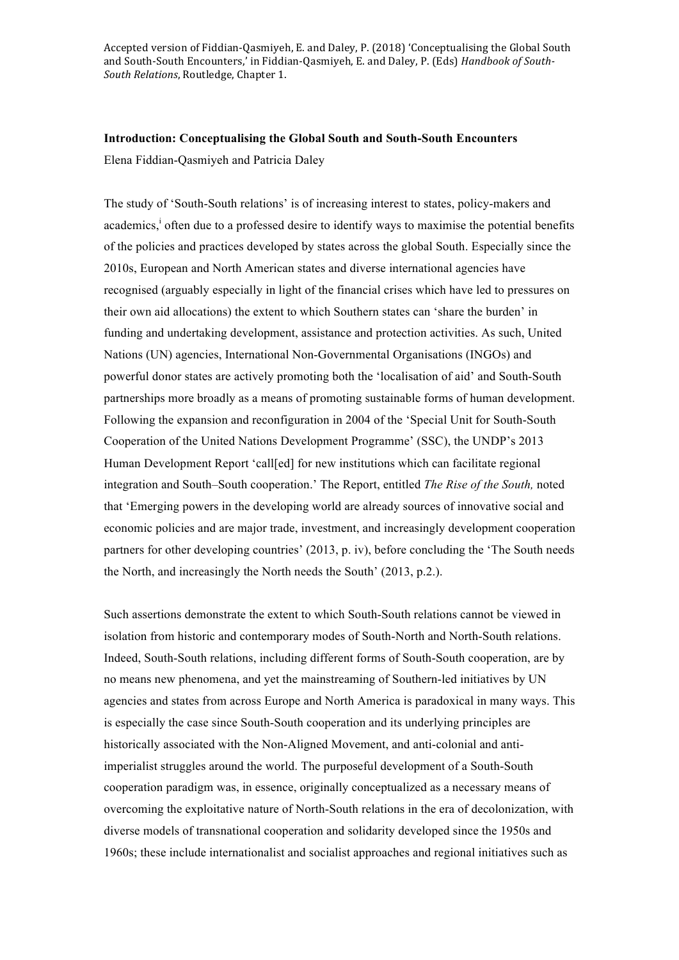# **Introduction: Conceptualising the Global South and South-South Encounters**

Elena Fiddian-Qasmiyeh and Patricia Daley

The study of 'South-South relations' is of increasing interest to states, policy-makers and academics,<sup>i</sup> often due to a professed desire to identify ways to maximise the potential benefits of the policies and practices developed by states across the global South. Especially since the 2010s, European and North American states and diverse international agencies have recognised (arguably especially in light of the financial crises which have led to pressures on their own aid allocations) the extent to which Southern states can 'share the burden' in funding and undertaking development, assistance and protection activities. As such, United Nations (UN) agencies, International Non-Governmental Organisations (INGOs) and powerful donor states are actively promoting both the 'localisation of aid' and South-South partnerships more broadly as a means of promoting sustainable forms of human development. Following the expansion and reconfiguration in 2004 of the 'Special Unit for South-South Cooperation of the United Nations Development Programme' (SSC), the UNDP's 2013 Human Development Report 'call[ed] for new institutions which can facilitate regional integration and South–South cooperation.' The Report, entitled *The Rise of the South,* noted that 'Emerging powers in the developing world are already sources of innovative social and economic policies and are major trade, investment, and increasingly development cooperation partners for other developing countries' (2013, p. iv), before concluding the 'The South needs the North, and increasingly the North needs the South' (2013, p.2.).

Such assertions demonstrate the extent to which South-South relations cannot be viewed in isolation from historic and contemporary modes of South-North and North-South relations. Indeed, South-South relations, including different forms of South-South cooperation, are by no means new phenomena, and yet the mainstreaming of Southern-led initiatives by UN agencies and states from across Europe and North America is paradoxical in many ways. This is especially the case since South-South cooperation and its underlying principles are historically associated with the Non-Aligned Movement, and anti-colonial and antiimperialist struggles around the world. The purposeful development of a South-South cooperation paradigm was, in essence, originally conceptualized as a necessary means of overcoming the exploitative nature of North-South relations in the era of decolonization, with diverse models of transnational cooperation and solidarity developed since the 1950s and 1960s; these include internationalist and socialist approaches and regional initiatives such as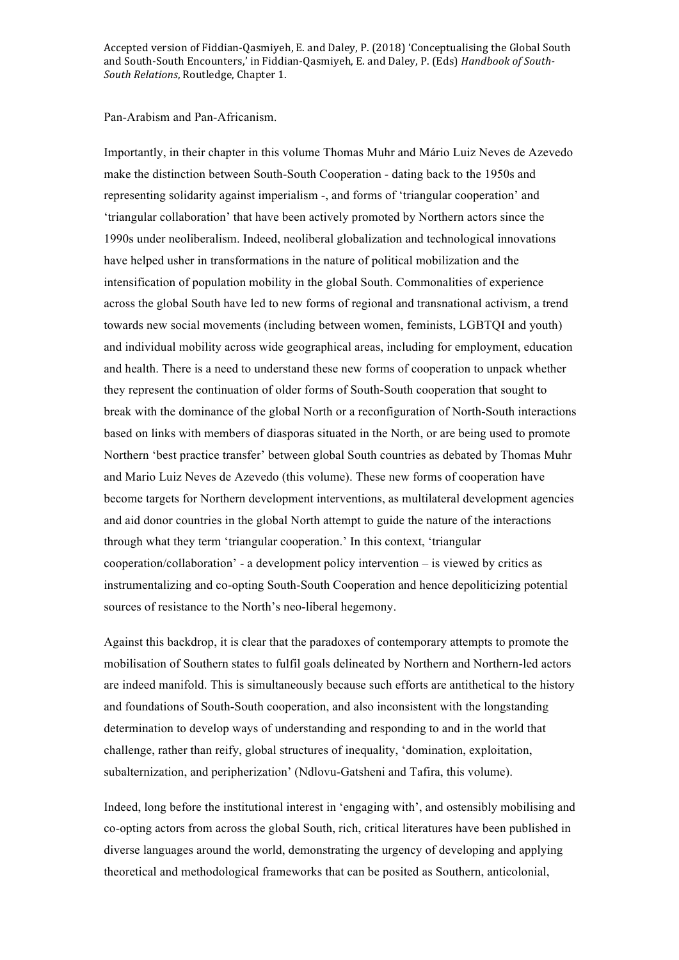Pan-Arabism and Pan-Africanism.

Importantly, in their chapter in this volume Thomas Muhr and Mário Luiz Neves de Azevedo make the distinction between South-South Cooperation - dating back to the 1950s and representing solidarity against imperialism -, and forms of 'triangular cooperation' and 'triangular collaboration' that have been actively promoted by Northern actors since the 1990s under neoliberalism. Indeed, neoliberal globalization and technological innovations have helped usher in transformations in the nature of political mobilization and the intensification of population mobility in the global South. Commonalities of experience across the global South have led to new forms of regional and transnational activism, a trend towards new social movements (including between women, feminists, LGBTQI and youth) and individual mobility across wide geographical areas, including for employment, education and health. There is a need to understand these new forms of cooperation to unpack whether they represent the continuation of older forms of South-South cooperation that sought to break with the dominance of the global North or a reconfiguration of North-South interactions based on links with members of diasporas situated in the North, or are being used to promote Northern 'best practice transfer' between global South countries as debated by Thomas Muhr and Mario Luiz Neves de Azevedo (this volume). These new forms of cooperation have become targets for Northern development interventions, as multilateral development agencies and aid donor countries in the global North attempt to guide the nature of the interactions through what they term 'triangular cooperation.' In this context, 'triangular cooperation/collaboration' - a development policy intervention – is viewed by critics as instrumentalizing and co-opting South-South Cooperation and hence depoliticizing potential sources of resistance to the North's neo-liberal hegemony.

Against this backdrop, it is clear that the paradoxes of contemporary attempts to promote the mobilisation of Southern states to fulfil goals delineated by Northern and Northern-led actors are indeed manifold. This is simultaneously because such efforts are antithetical to the history and foundations of South-South cooperation, and also inconsistent with the longstanding determination to develop ways of understanding and responding to and in the world that challenge, rather than reify, global structures of inequality, 'domination, exploitation, subalternization, and peripherization' (Ndlovu-Gatsheni and Tafira, this volume).

Indeed, long before the institutional interest in 'engaging with', and ostensibly mobilising and co-opting actors from across the global South, rich, critical literatures have been published in diverse languages around the world, demonstrating the urgency of developing and applying theoretical and methodological frameworks that can be posited as Southern, anticolonial,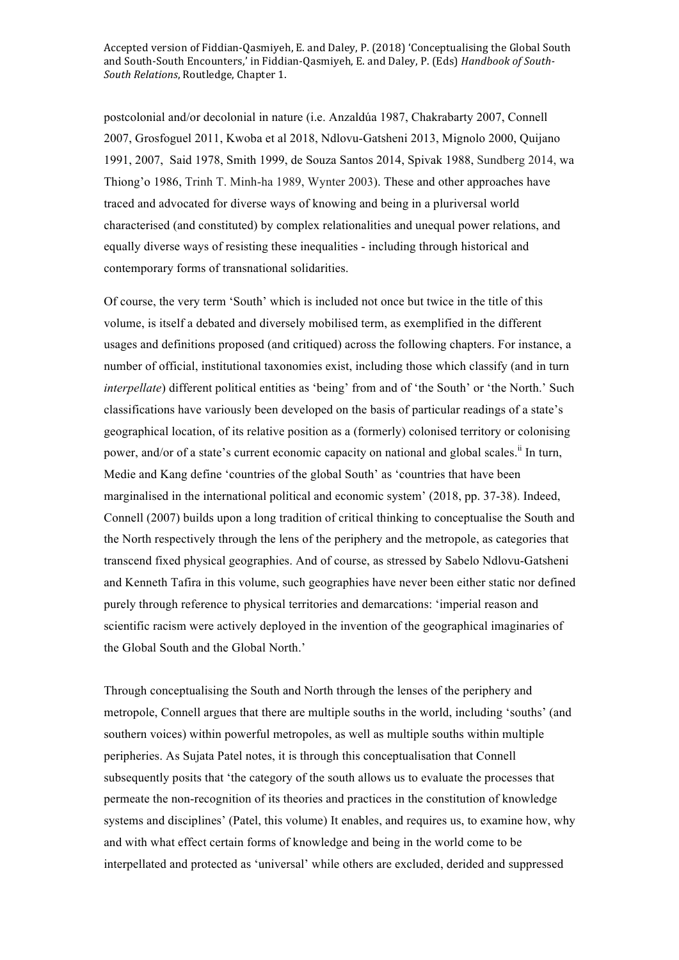postcolonial and/or decolonial in nature (i.e. Anzaldúa 1987, Chakrabarty 2007, Connell 2007, Grosfoguel 2011, Kwoba et al 2018, Ndlovu-Gatsheni 2013, Mignolo 2000, Quijano 1991, 2007, Said 1978, Smith 1999, de Souza Santos 2014, Spivak 1988, Sundberg 2014, wa Thiong'o 1986, Trinh T. Minh-ha 1989, Wynter 2003). These and other approaches have traced and advocated for diverse ways of knowing and being in a pluriversal world characterised (and constituted) by complex relationalities and unequal power relations, and equally diverse ways of resisting these inequalities - including through historical and contemporary forms of transnational solidarities.

Of course, the very term 'South' which is included not once but twice in the title of this volume, is itself a debated and diversely mobilised term, as exemplified in the different usages and definitions proposed (and critiqued) across the following chapters. For instance, a number of official, institutional taxonomies exist, including those which classify (and in turn *interpellate*) different political entities as 'being' from and of 'the South' or 'the North.' Such classifications have variously been developed on the basis of particular readings of a state's geographical location, of its relative position as a (formerly) colonised territory or colonising power, and/or of a state's current economic capacity on national and global scales.<sup>ii</sup> In turn, Medie and Kang define 'countries of the global South' as 'countries that have been marginalised in the international political and economic system' (2018, pp. 37-38). Indeed, Connell (2007) builds upon a long tradition of critical thinking to conceptualise the South and the North respectively through the lens of the periphery and the metropole, as categories that transcend fixed physical geographies. And of course, as stressed by Sabelo Ndlovu-Gatsheni and Kenneth Tafira in this volume, such geographies have never been either static nor defined purely through reference to physical territories and demarcations: 'imperial reason and scientific racism were actively deployed in the invention of the geographical imaginaries of the Global South and the Global North.'

Through conceptualising the South and North through the lenses of the periphery and metropole, Connell argues that there are multiple souths in the world, including 'souths' (and southern voices) within powerful metropoles, as well as multiple souths within multiple peripheries. As Sujata Patel notes, it is through this conceptualisation that Connell subsequently posits that 'the category of the south allows us to evaluate the processes that permeate the non-recognition of its theories and practices in the constitution of knowledge systems and disciplines' (Patel, this volume) It enables, and requires us, to examine how, why and with what effect certain forms of knowledge and being in the world come to be interpellated and protected as 'universal' while others are excluded, derided and suppressed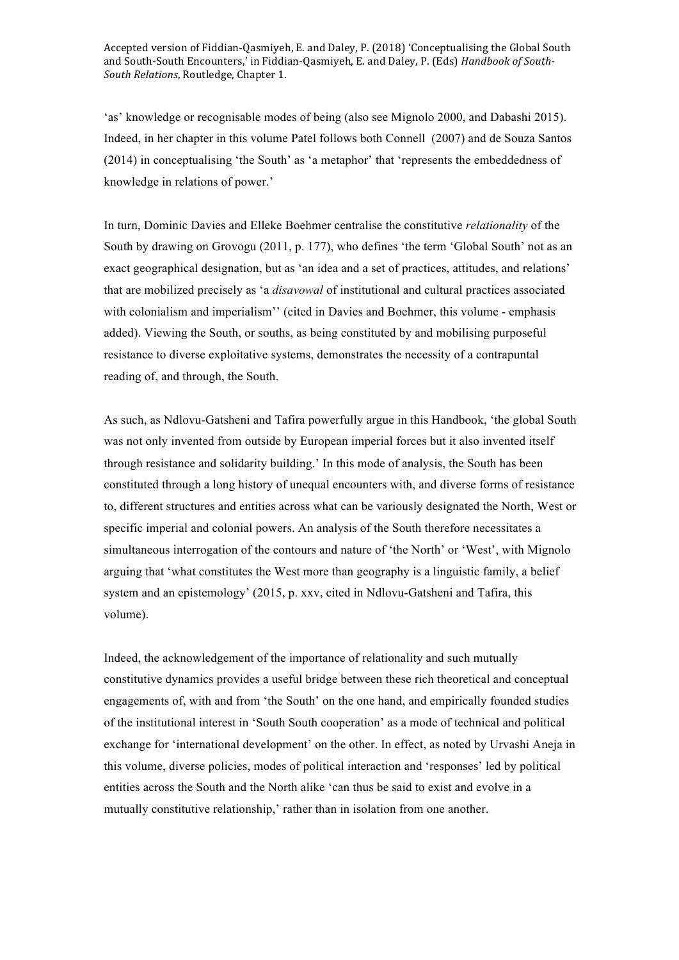'as' knowledge or recognisable modes of being (also see Mignolo 2000, and Dabashi 2015). Indeed, in her chapter in this volume Patel follows both Connell (2007) and de Souza Santos (2014) in conceptualising 'the South' as 'a metaphor' that 'represents the embeddedness of knowledge in relations of power.'

In turn, Dominic Davies and Elleke Boehmer centralise the constitutive *relationality* of the South by drawing on Grovogu (2011, p. 177), who defines 'the term 'Global South' not as an exact geographical designation, but as 'an idea and a set of practices, attitudes, and relations' that are mobilized precisely as 'a *disavowal* of institutional and cultural practices associated with colonialism and imperialism'' (cited in Davies and Boehmer, this volume - emphasis added). Viewing the South, or souths, as being constituted by and mobilising purposeful resistance to diverse exploitative systems, demonstrates the necessity of a contrapuntal reading of, and through, the South.

As such, as Ndlovu-Gatsheni and Tafira powerfully argue in this Handbook, 'the global South was not only invented from outside by European imperial forces but it also invented itself through resistance and solidarity building.' In this mode of analysis, the South has been constituted through a long history of unequal encounters with, and diverse forms of resistance to, different structures and entities across what can be variously designated the North, West or specific imperial and colonial powers. An analysis of the South therefore necessitates a simultaneous interrogation of the contours and nature of 'the North' or 'West', with Mignolo arguing that 'what constitutes the West more than geography is a linguistic family, a belief system and an epistemology' (2015, p. xxv, cited in Ndlovu-Gatsheni and Tafira, this volume).

Indeed, the acknowledgement of the importance of relationality and such mutually constitutive dynamics provides a useful bridge between these rich theoretical and conceptual engagements of, with and from 'the South' on the one hand, and empirically founded studies of the institutional interest in 'South South cooperation' as a mode of technical and political exchange for 'international development' on the other. In effect, as noted by Urvashi Aneja in this volume, diverse policies, modes of political interaction and 'responses' led by political entities across the South and the North alike 'can thus be said to exist and evolve in a mutually constitutive relationship,' rather than in isolation from one another.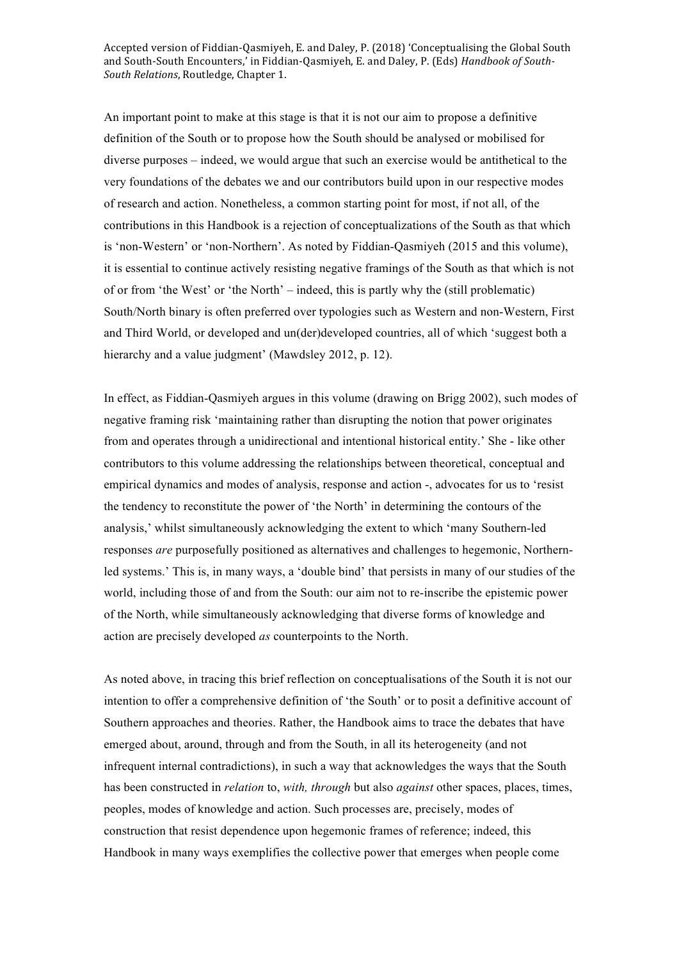An important point to make at this stage is that it is not our aim to propose a definitive definition of the South or to propose how the South should be analysed or mobilised for diverse purposes – indeed, we would argue that such an exercise would be antithetical to the very foundations of the debates we and our contributors build upon in our respective modes of research and action. Nonetheless, a common starting point for most, if not all, of the contributions in this Handbook is a rejection of conceptualizations of the South as that which is 'non-Western' or 'non-Northern'. As noted by Fiddian-Qasmiyeh (2015 and this volume), it is essential to continue actively resisting negative framings of the South as that which is not of or from 'the West' or 'the North' – indeed, this is partly why the (still problematic) South/North binary is often preferred over typologies such as Western and non-Western, First and Third World, or developed and un(der)developed countries, all of which 'suggest both a hierarchy and a value judgment' (Mawdsley 2012, p. 12).

In effect, as Fiddian-Qasmiyeh argues in this volume (drawing on Brigg 2002), such modes of negative framing risk 'maintaining rather than disrupting the notion that power originates from and operates through a unidirectional and intentional historical entity.' She - like other contributors to this volume addressing the relationships between theoretical, conceptual and empirical dynamics and modes of analysis, response and action -, advocates for us to 'resist the tendency to reconstitute the power of 'the North' in determining the contours of the analysis,' whilst simultaneously acknowledging the extent to which 'many Southern-led responses *are* purposefully positioned as alternatives and challenges to hegemonic, Northernled systems.' This is, in many ways, a 'double bind' that persists in many of our studies of the world, including those of and from the South: our aim not to re-inscribe the epistemic power of the North, while simultaneously acknowledging that diverse forms of knowledge and action are precisely developed *as* counterpoints to the North.

As noted above, in tracing this brief reflection on conceptualisations of the South it is not our intention to offer a comprehensive definition of 'the South' or to posit a definitive account of Southern approaches and theories. Rather, the Handbook aims to trace the debates that have emerged about, around, through and from the South, in all its heterogeneity (and not infrequent internal contradictions), in such a way that acknowledges the ways that the South has been constructed in *relation* to, *with, through* but also *against* other spaces, places, times, peoples, modes of knowledge and action. Such processes are, precisely, modes of construction that resist dependence upon hegemonic frames of reference; indeed, this Handbook in many ways exemplifies the collective power that emerges when people come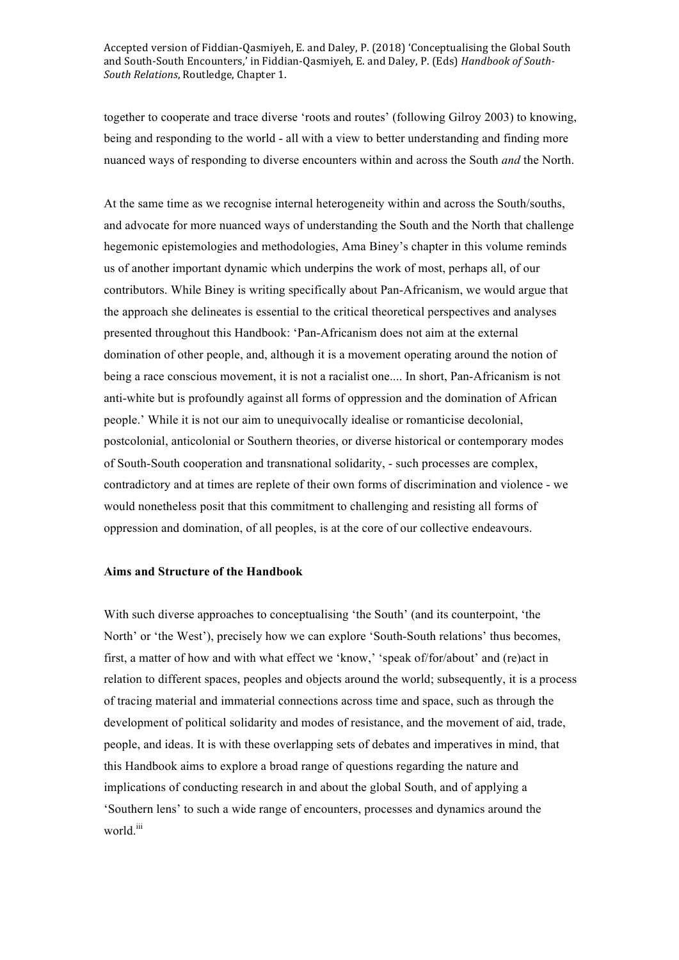together to cooperate and trace diverse 'roots and routes' (following Gilroy 2003) to knowing, being and responding to the world - all with a view to better understanding and finding more nuanced ways of responding to diverse encounters within and across the South *and* the North.

At the same time as we recognise internal heterogeneity within and across the South/souths, and advocate for more nuanced ways of understanding the South and the North that challenge hegemonic epistemologies and methodologies, Ama Biney's chapter in this volume reminds us of another important dynamic which underpins the work of most, perhaps all, of our contributors. While Biney is writing specifically about Pan-Africanism, we would argue that the approach she delineates is essential to the critical theoretical perspectives and analyses presented throughout this Handbook: 'Pan-Africanism does not aim at the external domination of other people, and, although it is a movement operating around the notion of being a race conscious movement, it is not a racialist one.... In short, Pan-Africanism is not anti-white but is profoundly against all forms of oppression and the domination of African people.' While it is not our aim to unequivocally idealise or romanticise decolonial, postcolonial, anticolonial or Southern theories, or diverse historical or contemporary modes of South-South cooperation and transnational solidarity, - such processes are complex, contradictory and at times are replete of their own forms of discrimination and violence - we would nonetheless posit that this commitment to challenging and resisting all forms of oppression and domination, of all peoples, is at the core of our collective endeavours.

## **Aims and Structure of the Handbook**

With such diverse approaches to conceptualising 'the South' (and its counterpoint, 'the North' or 'the West'), precisely how we can explore 'South-South relations' thus becomes, first, a matter of how and with what effect we 'know,' 'speak of/for/about' and (re)act in relation to different spaces, peoples and objects around the world; subsequently, it is a process of tracing material and immaterial connections across time and space, such as through the development of political solidarity and modes of resistance, and the movement of aid, trade, people, and ideas. It is with these overlapping sets of debates and imperatives in mind, that this Handbook aims to explore a broad range of questions regarding the nature and implications of conducting research in and about the global South, and of applying a 'Southern lens' to such a wide range of encounters, processes and dynamics around the world.<sup>iii</sup>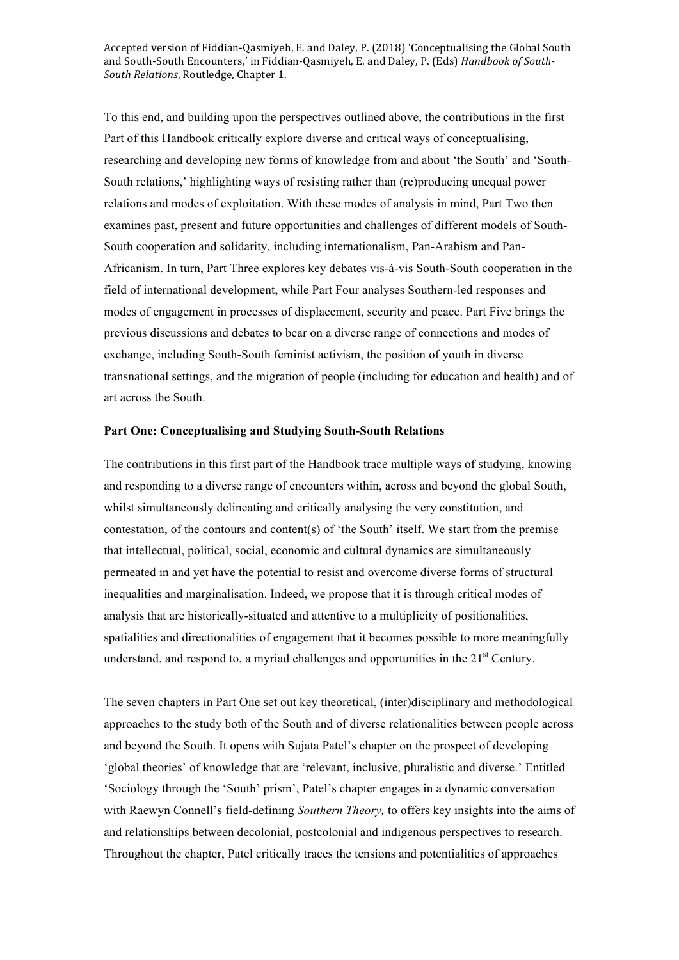To this end, and building upon the perspectives outlined above, the contributions in the first Part of this Handbook critically explore diverse and critical ways of conceptualising, researching and developing new forms of knowledge from and about 'the South' and 'South-South relations,' highlighting ways of resisting rather than (re)producing unequal power relations and modes of exploitation. With these modes of analysis in mind, Part Two then examines past, present and future opportunities and challenges of different models of South-South cooperation and solidarity, including internationalism, Pan-Arabism and Pan-Africanism. In turn, Part Three explores key debates vis-à-vis South-South cooperation in the field of international development, while Part Four analyses Southern-led responses and modes of engagement in processes of displacement, security and peace. Part Five brings the previous discussions and debates to bear on a diverse range of connections and modes of exchange, including South-South feminist activism, the position of youth in diverse transnational settings, and the migration of people (including for education and health) and of art across the South.

## **Part One: Conceptualising and Studying South-South Relations**

The contributions in this first part of the Handbook trace multiple ways of studying, knowing and responding to a diverse range of encounters within, across and beyond the global South, whilst simultaneously delineating and critically analysing the very constitution, and contestation, of the contours and content(s) of 'the South' itself. We start from the premise that intellectual, political, social, economic and cultural dynamics are simultaneously permeated in and yet have the potential to resist and overcome diverse forms of structural inequalities and marginalisation. Indeed, we propose that it is through critical modes of analysis that are historically-situated and attentive to a multiplicity of positionalities, spatialities and directionalities of engagement that it becomes possible to more meaningfully understand, and respond to, a myriad challenges and opportunities in the  $21<sup>st</sup>$  Century.

The seven chapters in Part One set out key theoretical, (inter)disciplinary and methodological approaches to the study both of the South and of diverse relationalities between people across and beyond the South. It opens with Sujata Patel's chapter on the prospect of developing 'global theories' of knowledge that are 'relevant, inclusive, pluralistic and diverse.' Entitled 'Sociology through the 'South' prism', Patel's chapter engages in a dynamic conversation with Raewyn Connell's field-defining *Southern Theory,* to offers key insights into the aims of and relationships between decolonial, postcolonial and indigenous perspectives to research. Throughout the chapter, Patel critically traces the tensions and potentialities of approaches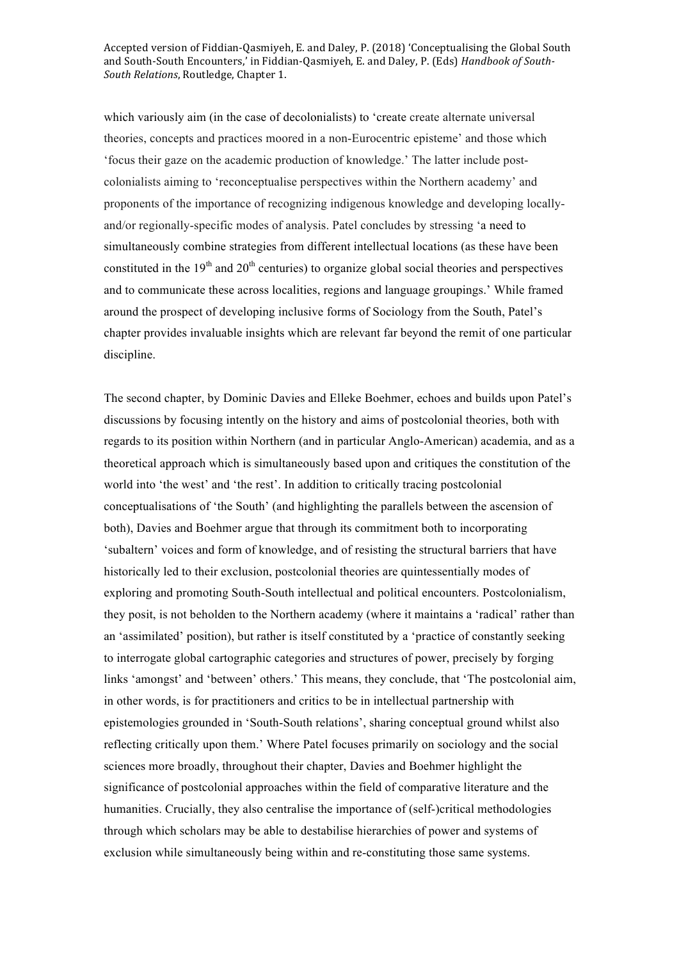which variously aim (in the case of decolonialists) to 'create create alternate universal theories, concepts and practices moored in a non-Eurocentric episteme' and those which 'focus their gaze on the academic production of knowledge.' The latter include postcolonialists aiming to 'reconceptualise perspectives within the Northern academy' and proponents of the importance of recognizing indigenous knowledge and developing locallyand/or regionally-specific modes of analysis. Patel concludes by stressing 'a need to simultaneously combine strategies from different intellectual locations (as these have been constituted in the  $19<sup>th</sup>$  and  $20<sup>th</sup>$  centuries) to organize global social theories and perspectives and to communicate these across localities, regions and language groupings.' While framed around the prospect of developing inclusive forms of Sociology from the South, Patel's chapter provides invaluable insights which are relevant far beyond the remit of one particular discipline.

The second chapter, by Dominic Davies and Elleke Boehmer, echoes and builds upon Patel's discussions by focusing intently on the history and aims of postcolonial theories, both with regards to its position within Northern (and in particular Anglo-American) academia, and as a theoretical approach which is simultaneously based upon and critiques the constitution of the world into 'the west' and 'the rest'. In addition to critically tracing postcolonial conceptualisations of 'the South' (and highlighting the parallels between the ascension of both), Davies and Boehmer argue that through its commitment both to incorporating 'subaltern' voices and form of knowledge, and of resisting the structural barriers that have historically led to their exclusion, postcolonial theories are quintessentially modes of exploring and promoting South-South intellectual and political encounters. Postcolonialism, they posit, is not beholden to the Northern academy (where it maintains a 'radical' rather than an 'assimilated' position), but rather is itself constituted by a 'practice of constantly seeking to interrogate global cartographic categories and structures of power, precisely by forging links 'amongst' and 'between' others.' This means, they conclude, that 'The postcolonial aim, in other words, is for practitioners and critics to be in intellectual partnership with epistemologies grounded in 'South-South relations', sharing conceptual ground whilst also reflecting critically upon them.' Where Patel focuses primarily on sociology and the social sciences more broadly, throughout their chapter, Davies and Boehmer highlight the significance of postcolonial approaches within the field of comparative literature and the humanities. Crucially, they also centralise the importance of (self-)critical methodologies through which scholars may be able to destabilise hierarchies of power and systems of exclusion while simultaneously being within and re-constituting those same systems.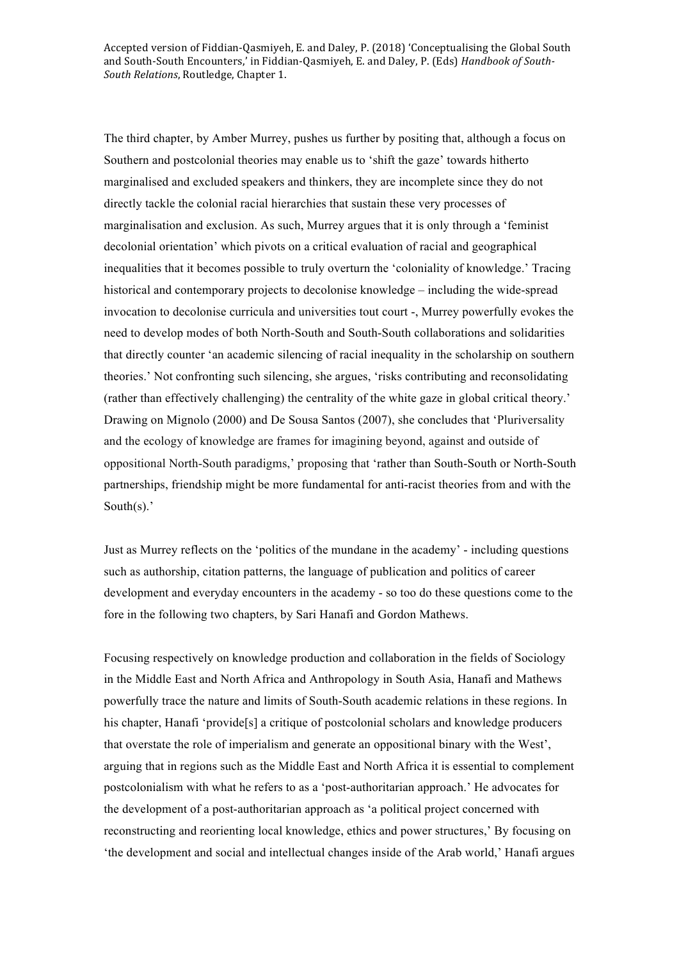The third chapter, by Amber Murrey, pushes us further by positing that, although a focus on Southern and postcolonial theories may enable us to 'shift the gaze' towards hitherto marginalised and excluded speakers and thinkers, they are incomplete since they do not directly tackle the colonial racial hierarchies that sustain these very processes of marginalisation and exclusion. As such, Murrey argues that it is only through a 'feminist decolonial orientation' which pivots on a critical evaluation of racial and geographical inequalities that it becomes possible to truly overturn the 'coloniality of knowledge.' Tracing historical and contemporary projects to decolonise knowledge – including the wide-spread invocation to decolonise curricula and universities tout court -, Murrey powerfully evokes the need to develop modes of both North-South and South-South collaborations and solidarities that directly counter 'an academic silencing of racial inequality in the scholarship on southern theories.' Not confronting such silencing, she argues, 'risks contributing and reconsolidating (rather than effectively challenging) the centrality of the white gaze in global critical theory.' Drawing on Mignolo (2000) and De Sousa Santos (2007), she concludes that 'Pluriversality and the ecology of knowledge are frames for imagining beyond, against and outside of oppositional North-South paradigms,' proposing that 'rather than South-South or North-South partnerships, friendship might be more fundamental for anti-racist theories from and with the South $(s)$ .'

Just as Murrey reflects on the 'politics of the mundane in the academy' - including questions such as authorship, citation patterns, the language of publication and politics of career development and everyday encounters in the academy - so too do these questions come to the fore in the following two chapters, by Sari Hanafi and Gordon Mathews.

Focusing respectively on knowledge production and collaboration in the fields of Sociology in the Middle East and North Africa and Anthropology in South Asia, Hanafi and Mathews powerfully trace the nature and limits of South-South academic relations in these regions. In his chapter, Hanafi 'provide<sup>[5]</sup> a critique of postcolonial scholars and knowledge producers that overstate the role of imperialism and generate an oppositional binary with the West', arguing that in regions such as the Middle East and North Africa it is essential to complement postcolonialism with what he refers to as a 'post-authoritarian approach.' He advocates for the development of a post-authoritarian approach as 'a political project concerned with reconstructing and reorienting local knowledge, ethics and power structures,' By focusing on 'the development and social and intellectual changes inside of the Arab world,' Hanafi argues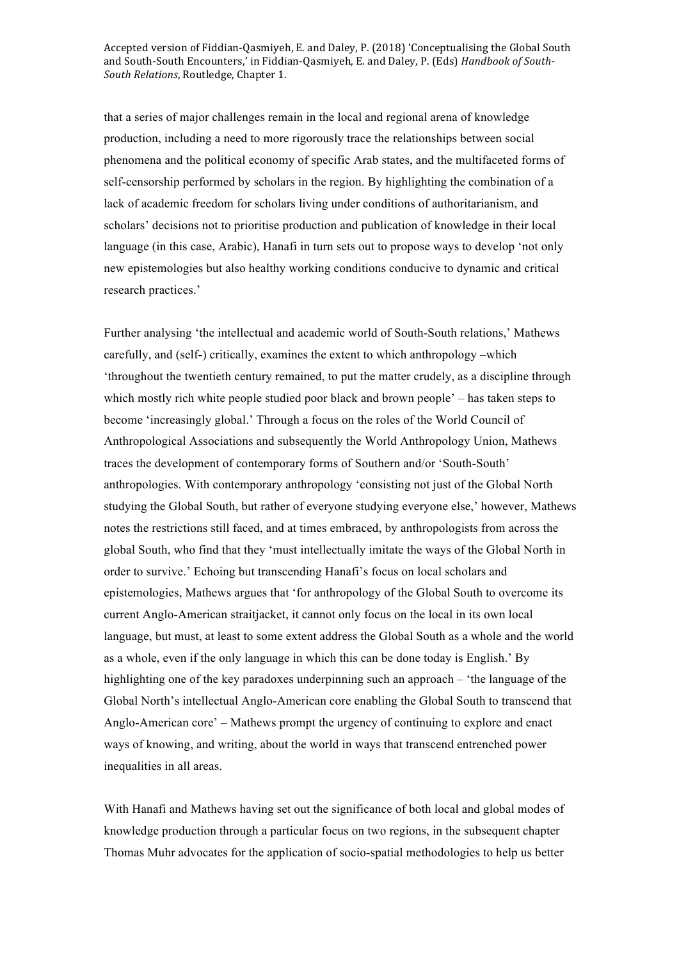that a series of major challenges remain in the local and regional arena of knowledge production, including a need to more rigorously trace the relationships between social phenomena and the political economy of specific Arab states, and the multifaceted forms of self-censorship performed by scholars in the region. By highlighting the combination of a lack of academic freedom for scholars living under conditions of authoritarianism, and scholars' decisions not to prioritise production and publication of knowledge in their local language (in this case, Arabic), Hanafi in turn sets out to propose ways to develop 'not only new epistemologies but also healthy working conditions conducive to dynamic and critical research practices.'

Further analysing 'the intellectual and academic world of South-South relations,' Mathews carefully, and (self-) critically, examines the extent to which anthropology –which 'throughout the twentieth century remained, to put the matter crudely, as a discipline through which mostly rich white people studied poor black and brown people' – has taken steps to become 'increasingly global.' Through a focus on the roles of the World Council of Anthropological Associations and subsequently the World Anthropology Union, Mathews traces the development of contemporary forms of Southern and/or 'South-South' anthropologies. With contemporary anthropology 'consisting not just of the Global North studying the Global South, but rather of everyone studying everyone else,' however, Mathews notes the restrictions still faced, and at times embraced, by anthropologists from across the global South, who find that they 'must intellectually imitate the ways of the Global North in order to survive.' Echoing but transcending Hanafi's focus on local scholars and epistemologies, Mathews argues that 'for anthropology of the Global South to overcome its current Anglo-American straitjacket, it cannot only focus on the local in its own local language, but must, at least to some extent address the Global South as a whole and the world as a whole, even if the only language in which this can be done today is English.' By highlighting one of the key paradoxes underpinning such an approach – 'the language of the Global North's intellectual Anglo-American core enabling the Global South to transcend that Anglo-American core' – Mathews prompt the urgency of continuing to explore and enact ways of knowing, and writing, about the world in ways that transcend entrenched power inequalities in all areas.

With Hanafi and Mathews having set out the significance of both local and global modes of knowledge production through a particular focus on two regions, in the subsequent chapter Thomas Muhr advocates for the application of socio-spatial methodologies to help us better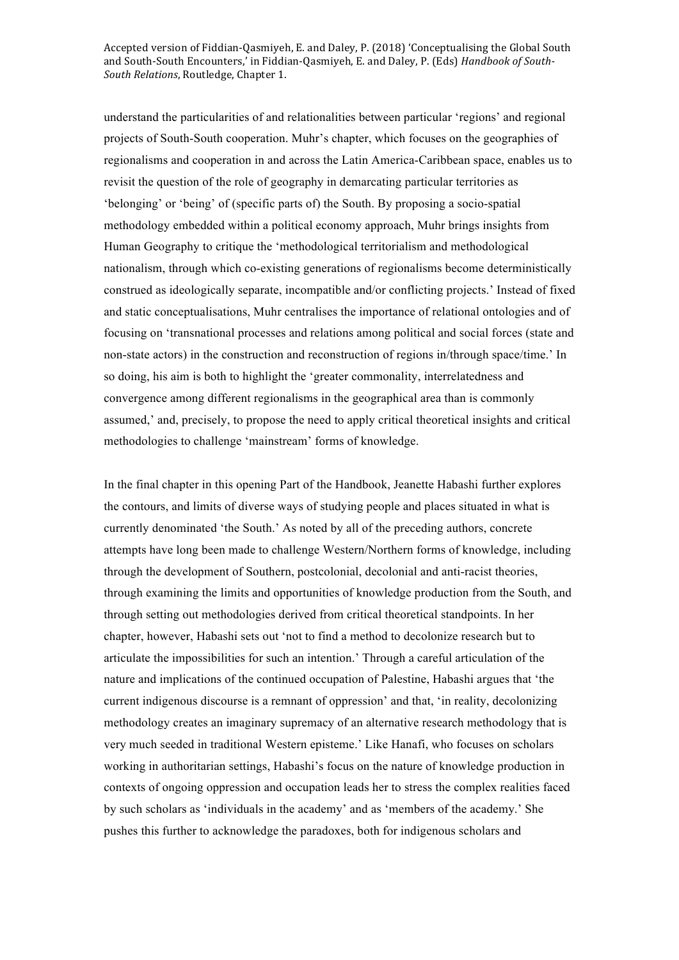understand the particularities of and relationalities between particular 'regions' and regional projects of South-South cooperation. Muhr's chapter, which focuses on the geographies of regionalisms and cooperation in and across the Latin America-Caribbean space, enables us to revisit the question of the role of geography in demarcating particular territories as 'belonging' or 'being' of (specific parts of) the South. By proposing a socio-spatial methodology embedded within a political economy approach, Muhr brings insights from Human Geography to critique the 'methodological territorialism and methodological nationalism, through which co-existing generations of regionalisms become deterministically construed as ideologically separate, incompatible and/or conflicting projects.' Instead of fixed and static conceptualisations, Muhr centralises the importance of relational ontologies and of focusing on 'transnational processes and relations among political and social forces (state and non-state actors) in the construction and reconstruction of regions in/through space/time.' In so doing, his aim is both to highlight the 'greater commonality, interrelatedness and convergence among different regionalisms in the geographical area than is commonly assumed,' and, precisely, to propose the need to apply critical theoretical insights and critical methodologies to challenge 'mainstream' forms of knowledge.

In the final chapter in this opening Part of the Handbook, Jeanette Habashi further explores the contours, and limits of diverse ways of studying people and places situated in what is currently denominated 'the South.' As noted by all of the preceding authors, concrete attempts have long been made to challenge Western/Northern forms of knowledge, including through the development of Southern, postcolonial, decolonial and anti-racist theories, through examining the limits and opportunities of knowledge production from the South, and through setting out methodologies derived from critical theoretical standpoints. In her chapter, however, Habashi sets out 'not to find a method to decolonize research but to articulate the impossibilities for such an intention.' Through a careful articulation of the nature and implications of the continued occupation of Palestine, Habashi argues that 'the current indigenous discourse is a remnant of oppression' and that, 'in reality, decolonizing methodology creates an imaginary supremacy of an alternative research methodology that is very much seeded in traditional Western episteme.' Like Hanafi, who focuses on scholars working in authoritarian settings, Habashi's focus on the nature of knowledge production in contexts of ongoing oppression and occupation leads her to stress the complex realities faced by such scholars as 'individuals in the academy' and as 'members of the academy.' She pushes this further to acknowledge the paradoxes, both for indigenous scholars and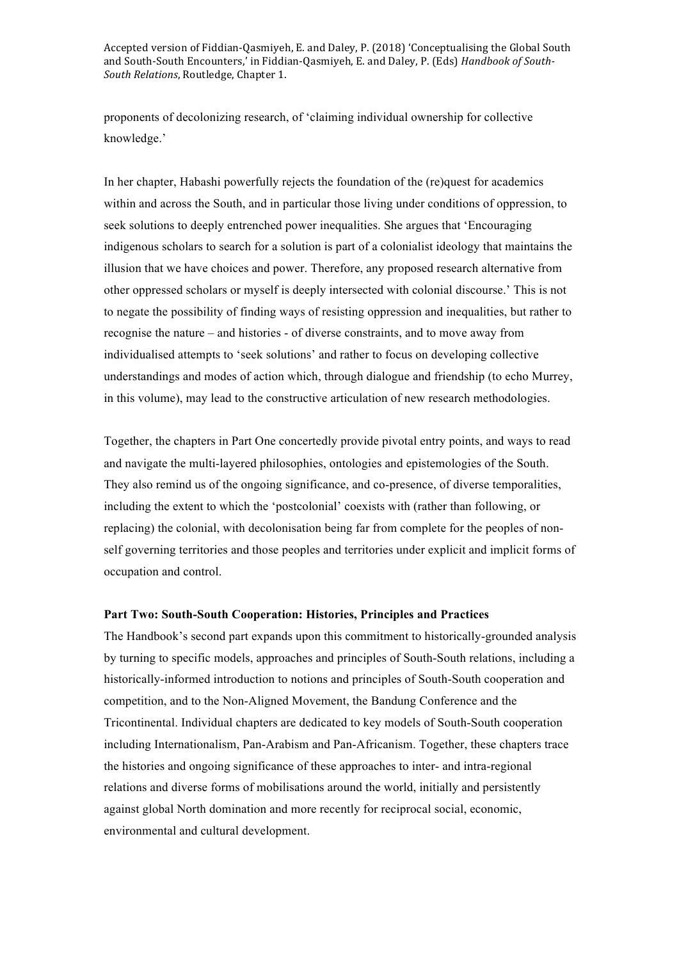proponents of decolonizing research, of 'claiming individual ownership for collective knowledge.'

In her chapter, Habashi powerfully rejects the foundation of the (re)quest for academics within and across the South, and in particular those living under conditions of oppression, to seek solutions to deeply entrenched power inequalities. She argues that 'Encouraging indigenous scholars to search for a solution is part of a colonialist ideology that maintains the illusion that we have choices and power. Therefore, any proposed research alternative from other oppressed scholars or myself is deeply intersected with colonial discourse.' This is not to negate the possibility of finding ways of resisting oppression and inequalities, but rather to recognise the nature – and histories - of diverse constraints, and to move away from individualised attempts to 'seek solutions' and rather to focus on developing collective understandings and modes of action which, through dialogue and friendship (to echo Murrey, in this volume), may lead to the constructive articulation of new research methodologies.

Together, the chapters in Part One concertedly provide pivotal entry points, and ways to read and navigate the multi-layered philosophies, ontologies and epistemologies of the South. They also remind us of the ongoing significance, and co-presence, of diverse temporalities, including the extent to which the 'postcolonial' coexists with (rather than following, or replacing) the colonial, with decolonisation being far from complete for the peoples of nonself governing territories and those peoples and territories under explicit and implicit forms of occupation and control.

### **Part Two: South-South Cooperation: Histories, Principles and Practices**

The Handbook's second part expands upon this commitment to historically-grounded analysis by turning to specific models, approaches and principles of South-South relations, including a historically-informed introduction to notions and principles of South-South cooperation and competition, and to the Non-Aligned Movement, the Bandung Conference and the Tricontinental. Individual chapters are dedicated to key models of South-South cooperation including Internationalism, Pan-Arabism and Pan-Africanism. Together, these chapters trace the histories and ongoing significance of these approaches to inter- and intra-regional relations and diverse forms of mobilisations around the world, initially and persistently against global North domination and more recently for reciprocal social, economic, environmental and cultural development.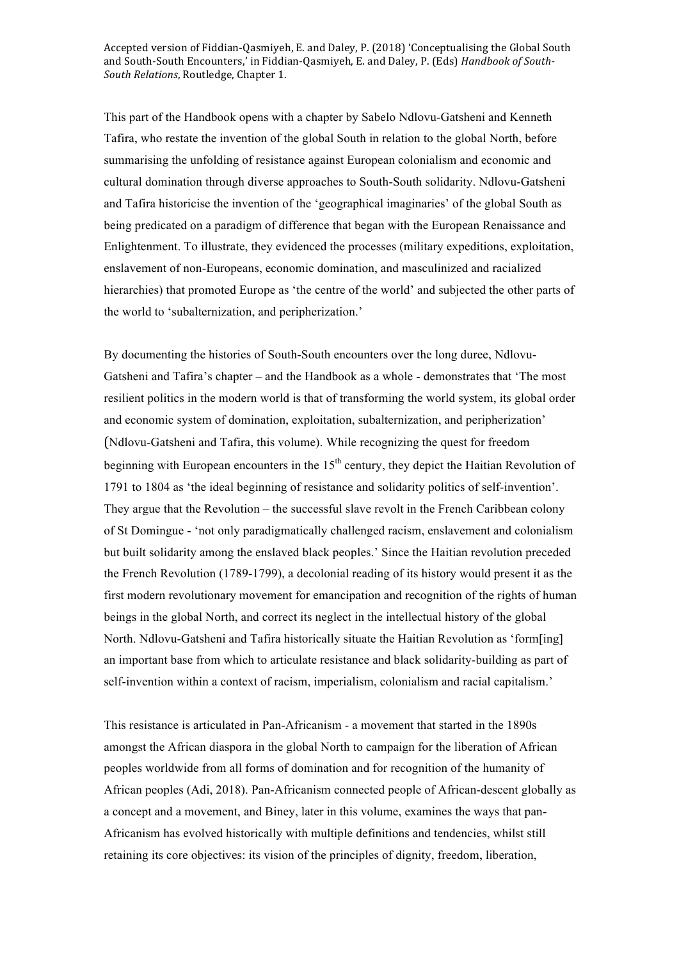This part of the Handbook opens with a chapter by Sabelo Ndlovu-Gatsheni and Kenneth Tafira, who restate the invention of the global South in relation to the global North, before summarising the unfolding of resistance against European colonialism and economic and cultural domination through diverse approaches to South-South solidarity. Ndlovu-Gatsheni and Tafira historicise the invention of the 'geographical imaginaries' of the global South as being predicated on a paradigm of difference that began with the European Renaissance and Enlightenment. To illustrate, they evidenced the processes (military expeditions, exploitation, enslavement of non-Europeans, economic domination, and masculinized and racialized hierarchies) that promoted Europe as 'the centre of the world' and subjected the other parts of the world to 'subalternization, and peripherization.'

By documenting the histories of South-South encounters over the long duree, Ndlovu-Gatsheni and Tafira's chapter – and the Handbook as a whole - demonstrates that 'The most resilient politics in the modern world is that of transforming the world system, its global order and economic system of domination, exploitation, subalternization, and peripherization' (Ndlovu-Gatsheni and Tafira, this volume). While recognizing the quest for freedom beginning with European encounters in the  $15<sup>th</sup>$  century, they depict the Haitian Revolution of 1791 to 1804 as 'the ideal beginning of resistance and solidarity politics of self-invention'. They argue that the Revolution – the successful slave revolt in the French Caribbean colony of St Domingue - 'not only paradigmatically challenged racism, enslavement and colonialism but built solidarity among the enslaved black peoples.' Since the Haitian revolution preceded the French Revolution (1789-1799), a decolonial reading of its history would present it as the first modern revolutionary movement for emancipation and recognition of the rights of human beings in the global North, and correct its neglect in the intellectual history of the global North. Ndlovu-Gatsheni and Tafira historically situate the Haitian Revolution as 'form[ing] an important base from which to articulate resistance and black solidarity-building as part of self-invention within a context of racism, imperialism, colonialism and racial capitalism.'

This resistance is articulated in Pan-Africanism - a movement that started in the 1890s amongst the African diaspora in the global North to campaign for the liberation of African peoples worldwide from all forms of domination and for recognition of the humanity of African peoples (Adi, 2018). Pan-Africanism connected people of African-descent globally as a concept and a movement, and Biney, later in this volume, examines the ways that pan-Africanism has evolved historically with multiple definitions and tendencies, whilst still retaining its core objectives: its vision of the principles of dignity, freedom, liberation,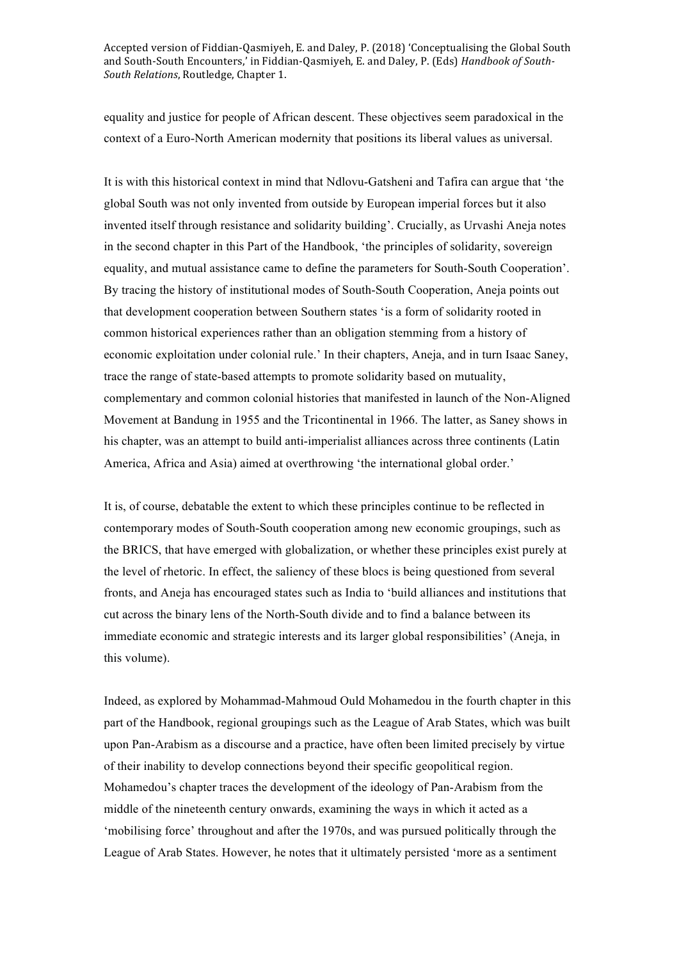equality and justice for people of African descent. These objectives seem paradoxical in the context of a Euro-North American modernity that positions its liberal values as universal.

It is with this historical context in mind that Ndlovu-Gatsheni and Tafira can argue that 'the global South was not only invented from outside by European imperial forces but it also invented itself through resistance and solidarity building'. Crucially, as Urvashi Aneja notes in the second chapter in this Part of the Handbook, 'the principles of solidarity, sovereign equality, and mutual assistance came to define the parameters for South-South Cooperation'. By tracing the history of institutional modes of South-South Cooperation, Aneja points out that development cooperation between Southern states 'is a form of solidarity rooted in common historical experiences rather than an obligation stemming from a history of economic exploitation under colonial rule.' In their chapters, Aneja, and in turn Isaac Saney, trace the range of state-based attempts to promote solidarity based on mutuality, complementary and common colonial histories that manifested in launch of the Non-Aligned Movement at Bandung in 1955 and the Tricontinental in 1966. The latter, as Saney shows in his chapter, was an attempt to build anti-imperialist alliances across three continents (Latin America, Africa and Asia) aimed at overthrowing 'the international global order.'

It is, of course, debatable the extent to which these principles continue to be reflected in contemporary modes of South-South cooperation among new economic groupings, such as the BRICS, that have emerged with globalization, or whether these principles exist purely at the level of rhetoric. In effect, the saliency of these blocs is being questioned from several fronts, and Aneja has encouraged states such as India to 'build alliances and institutions that cut across the binary lens of the North-South divide and to find a balance between its immediate economic and strategic interests and its larger global responsibilities' (Aneja, in this volume).

Indeed, as explored by Mohammad-Mahmoud Ould Mohamedou in the fourth chapter in this part of the Handbook, regional groupings such as the League of Arab States, which was built upon Pan-Arabism as a discourse and a practice, have often been limited precisely by virtue of their inability to develop connections beyond their specific geopolitical region. Mohamedou's chapter traces the development of the ideology of Pan-Arabism from the middle of the nineteenth century onwards, examining the ways in which it acted as a 'mobilising force' throughout and after the 1970s, and was pursued politically through the League of Arab States. However, he notes that it ultimately persisted 'more as a sentiment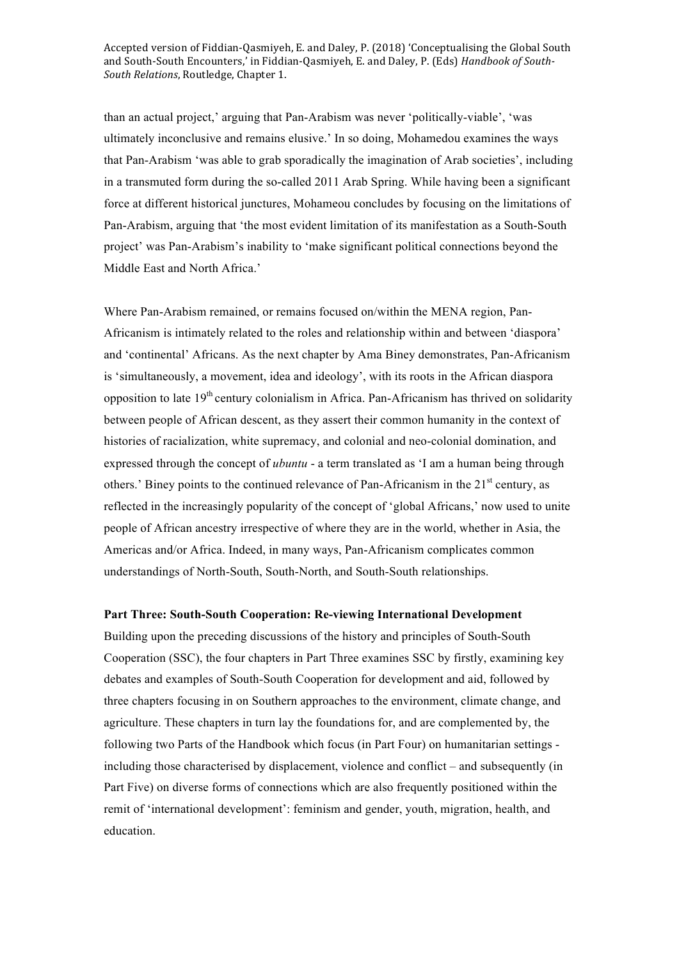than an actual project,' arguing that Pan-Arabism was never 'politically-viable', 'was ultimately inconclusive and remains elusive.' In so doing, Mohamedou examines the ways that Pan-Arabism 'was able to grab sporadically the imagination of Arab societies', including in a transmuted form during the so-called 2011 Arab Spring. While having been a significant force at different historical junctures, Mohameou concludes by focusing on the limitations of Pan-Arabism, arguing that 'the most evident limitation of its manifestation as a South-South project' was Pan-Arabism's inability to 'make significant political connections beyond the Middle East and North Africa.'

Where Pan-Arabism remained, or remains focused on/within the MENA region, Pan-Africanism is intimately related to the roles and relationship within and between 'diaspora' and 'continental' Africans. As the next chapter by Ama Biney demonstrates, Pan-Africanism is 'simultaneously, a movement, idea and ideology', with its roots in the African diaspora opposition to late  $19<sup>th</sup>$  century colonialism in Africa. Pan-Africanism has thrived on solidarity between people of African descent, as they assert their common humanity in the context of histories of racialization, white supremacy, and colonial and neo-colonial domination, and expressed through the concept of *ubuntu* - a term translated as 'I am a human being through others.' Biney points to the continued relevance of Pan-Africanism in the  $21<sup>st</sup>$  century, as reflected in the increasingly popularity of the concept of 'global Africans,' now used to unite people of African ancestry irrespective of where they are in the world, whether in Asia, the Americas and/or Africa. Indeed, in many ways, Pan-Africanism complicates common understandings of North-South, South-North, and South-South relationships.

#### **Part Three: South-South Cooperation: Re-viewing International Development**

Building upon the preceding discussions of the history and principles of South-South Cooperation (SSC), the four chapters in Part Three examines SSC by firstly, examining key debates and examples of South-South Cooperation for development and aid, followed by three chapters focusing in on Southern approaches to the environment, climate change, and agriculture. These chapters in turn lay the foundations for, and are complemented by, the following two Parts of the Handbook which focus (in Part Four) on humanitarian settings including those characterised by displacement, violence and conflict – and subsequently (in Part Five) on diverse forms of connections which are also frequently positioned within the remit of 'international development': feminism and gender, youth, migration, health, and education.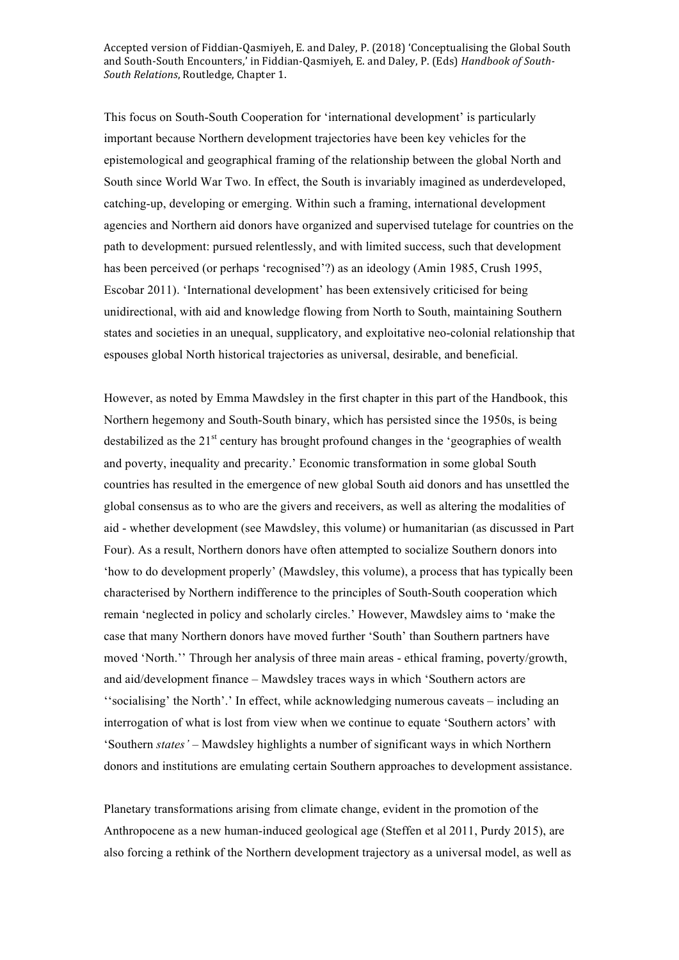This focus on South-South Cooperation for 'international development' is particularly important because Northern development trajectories have been key vehicles for the epistemological and geographical framing of the relationship between the global North and South since World War Two. In effect, the South is invariably imagined as underdeveloped, catching-up, developing or emerging. Within such a framing, international development agencies and Northern aid donors have organized and supervised tutelage for countries on the path to development: pursued relentlessly, and with limited success, such that development has been perceived (or perhaps 'recognised'?) as an ideology (Amin 1985, Crush 1995, Escobar 2011). 'International development' has been extensively criticised for being unidirectional, with aid and knowledge flowing from North to South, maintaining Southern states and societies in an unequal, supplicatory, and exploitative neo-colonial relationship that espouses global North historical trajectories as universal, desirable, and beneficial.

However, as noted by Emma Mawdsley in the first chapter in this part of the Handbook, this Northern hegemony and South-South binary, which has persisted since the 1950s, is being destabilized as the  $21<sup>st</sup>$  century has brought profound changes in the 'geographies of wealth and poverty, inequality and precarity.' Economic transformation in some global South countries has resulted in the emergence of new global South aid donors and has unsettled the global consensus as to who are the givers and receivers, as well as altering the modalities of aid - whether development (see Mawdsley, this volume) or humanitarian (as discussed in Part Four). As a result, Northern donors have often attempted to socialize Southern donors into 'how to do development properly' (Mawdsley, this volume), a process that has typically been characterised by Northern indifference to the principles of South-South cooperation which remain 'neglected in policy and scholarly circles.' However, Mawdsley aims to 'make the case that many Northern donors have moved further 'South' than Southern partners have moved 'North.'' Through her analysis of three main areas - ethical framing, poverty/growth, and aid/development finance – Mawdsley traces ways in which 'Southern actors are ''socialising' the North'.' In effect, while acknowledging numerous caveats – including an interrogation of what is lost from view when we continue to equate 'Southern actors' with 'Southern *states' –* Mawdsley highlights a number of significant ways in which Northern donors and institutions are emulating certain Southern approaches to development assistance.

Planetary transformations arising from climate change, evident in the promotion of the Anthropocene as a new human-induced geological age (Steffen et al 2011, Purdy 2015), are also forcing a rethink of the Northern development trajectory as a universal model, as well as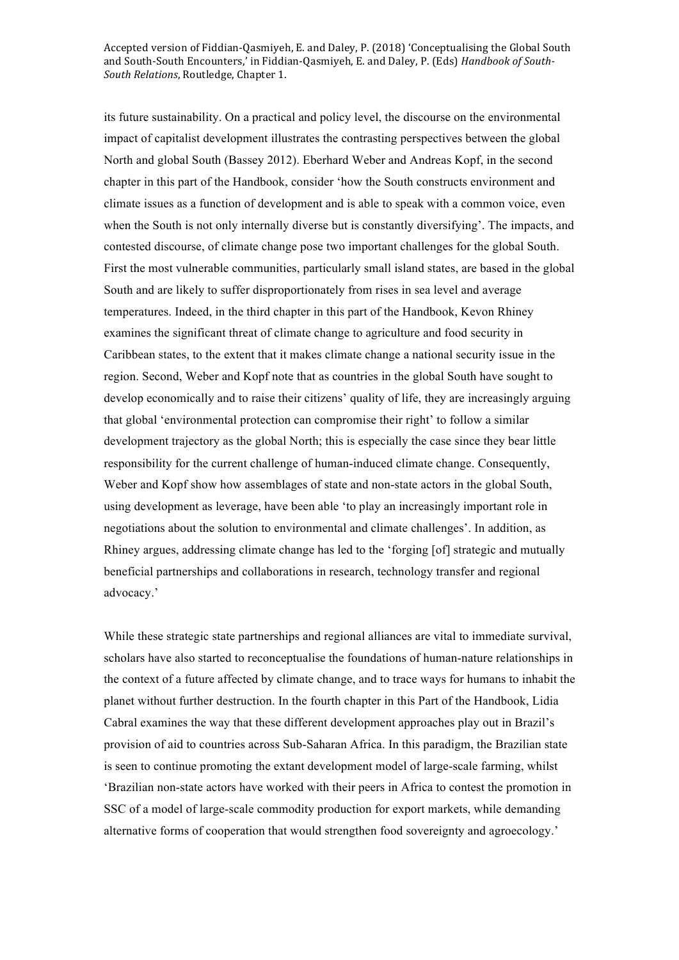its future sustainability. On a practical and policy level, the discourse on the environmental impact of capitalist development illustrates the contrasting perspectives between the global North and global South (Bassey 2012). Eberhard Weber and Andreas Kopf, in the second chapter in this part of the Handbook, consider 'how the South constructs environment and climate issues as a function of development and is able to speak with a common voice, even when the South is not only internally diverse but is constantly diversifying'. The impacts, and contested discourse, of climate change pose two important challenges for the global South. First the most vulnerable communities, particularly small island states, are based in the global South and are likely to suffer disproportionately from rises in sea level and average temperatures. Indeed, in the third chapter in this part of the Handbook, Kevon Rhiney examines the significant threat of climate change to agriculture and food security in Caribbean states, to the extent that it makes climate change a national security issue in the region. Second, Weber and Kopf note that as countries in the global South have sought to develop economically and to raise their citizens' quality of life, they are increasingly arguing that global 'environmental protection can compromise their right' to follow a similar development trajectory as the global North; this is especially the case since they bear little responsibility for the current challenge of human-induced climate change. Consequently, Weber and Kopf show how assemblages of state and non-state actors in the global South, using development as leverage, have been able 'to play an increasingly important role in negotiations about the solution to environmental and climate challenges'. In addition, as Rhiney argues, addressing climate change has led to the 'forging [of] strategic and mutually beneficial partnerships and collaborations in research, technology transfer and regional advocacy.'

While these strategic state partnerships and regional alliances are vital to immediate survival, scholars have also started to reconceptualise the foundations of human-nature relationships in the context of a future affected by climate change, and to trace ways for humans to inhabit the planet without further destruction. In the fourth chapter in this Part of the Handbook, Lidia Cabral examines the way that these different development approaches play out in Brazil's provision of aid to countries across Sub-Saharan Africa. In this paradigm, the Brazilian state is seen to continue promoting the extant development model of large-scale farming, whilst 'Brazilian non-state actors have worked with their peers in Africa to contest the promotion in SSC of a model of large-scale commodity production for export markets, while demanding alternative forms of cooperation that would strengthen food sovereignty and agroecology.'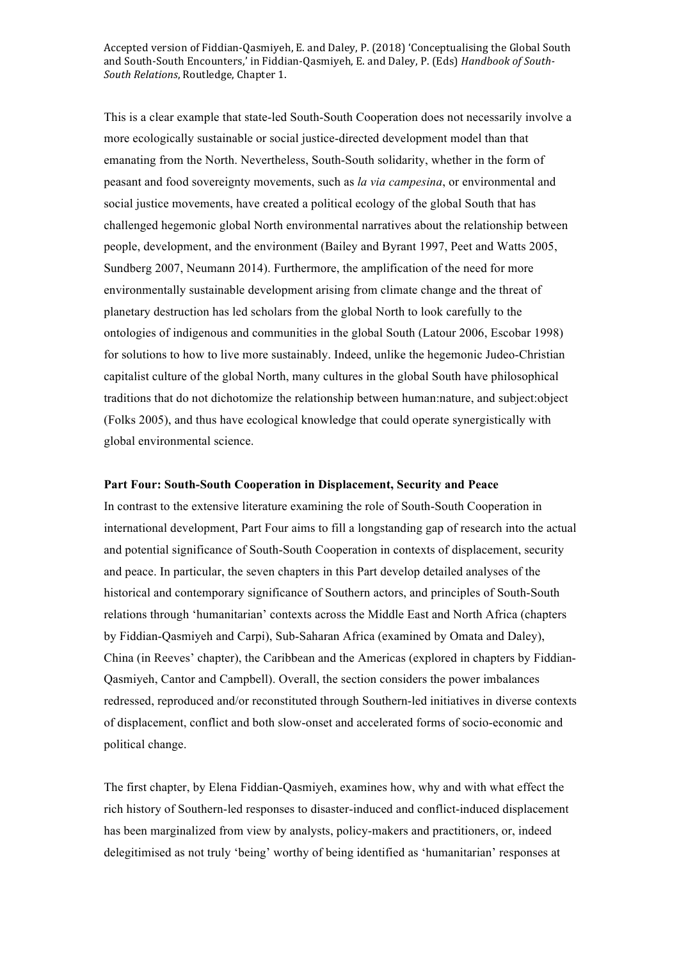This is a clear example that state-led South-South Cooperation does not necessarily involve a more ecologically sustainable or social justice-directed development model than that emanating from the North. Nevertheless, South-South solidarity, whether in the form of peasant and food sovereignty movements, such as *la via campesina*, or environmental and social justice movements, have created a political ecology of the global South that has challenged hegemonic global North environmental narratives about the relationship between people, development, and the environment (Bailey and Byrant 1997, Peet and Watts 2005, Sundberg 2007, Neumann 2014). Furthermore, the amplification of the need for more environmentally sustainable development arising from climate change and the threat of planetary destruction has led scholars from the global North to look carefully to the ontologies of indigenous and communities in the global South (Latour 2006, Escobar 1998) for solutions to how to live more sustainably. Indeed, unlike the hegemonic Judeo-Christian capitalist culture of the global North, many cultures in the global South have philosophical traditions that do not dichotomize the relationship between human:nature, and subject:object (Folks 2005), and thus have ecological knowledge that could operate synergistically with global environmental science.

#### **Part Four: South-South Cooperation in Displacement, Security and Peace**

In contrast to the extensive literature examining the role of South-South Cooperation in international development, Part Four aims to fill a longstanding gap of research into the actual and potential significance of South-South Cooperation in contexts of displacement, security and peace. In particular, the seven chapters in this Part develop detailed analyses of the historical and contemporary significance of Southern actors, and principles of South-South relations through 'humanitarian' contexts across the Middle East and North Africa (chapters by Fiddian-Qasmiyeh and Carpi), Sub-Saharan Africa (examined by Omata and Daley), China (in Reeves' chapter), the Caribbean and the Americas (explored in chapters by Fiddian-Qasmiyeh, Cantor and Campbell). Overall, the section considers the power imbalances redressed, reproduced and/or reconstituted through Southern-led initiatives in diverse contexts of displacement, conflict and both slow-onset and accelerated forms of socio-economic and political change.

The first chapter, by Elena Fiddian-Qasmiyeh, examines how, why and with what effect the rich history of Southern-led responses to disaster-induced and conflict-induced displacement has been marginalized from view by analysts, policy-makers and practitioners, or, indeed delegitimised as not truly 'being' worthy of being identified as 'humanitarian' responses at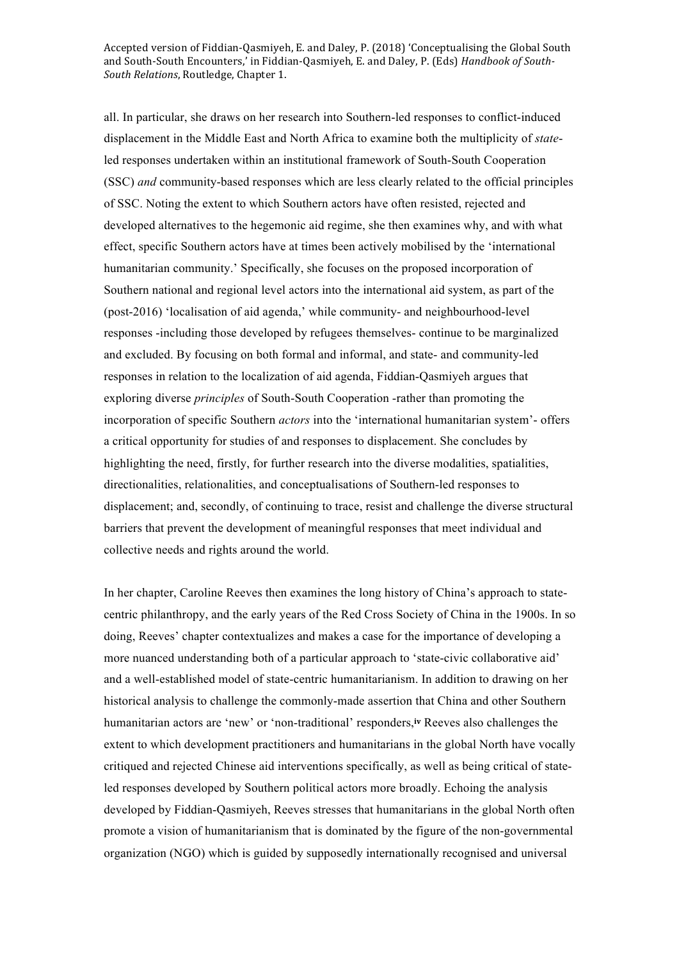all. In particular, she draws on her research into Southern-led responses to conflict-induced displacement in the Middle East and North Africa to examine both the multiplicity of *state*led responses undertaken within an institutional framework of South-South Cooperation (SSC) *and* community-based responses which are less clearly related to the official principles of SSC. Noting the extent to which Southern actors have often resisted, rejected and developed alternatives to the hegemonic aid regime, she then examines why, and with what effect, specific Southern actors have at times been actively mobilised by the 'international humanitarian community.' Specifically, she focuses on the proposed incorporation of Southern national and regional level actors into the international aid system, as part of the (post-2016) 'localisation of aid agenda,' while community- and neighbourhood-level responses -including those developed by refugees themselves- continue to be marginalized and excluded. By focusing on both formal and informal, and state- and community-led responses in relation to the localization of aid agenda, Fiddian-Qasmiyeh argues that exploring diverse *principles* of South-South Cooperation -rather than promoting the incorporation of specific Southern *actors* into the 'international humanitarian system'- offers a critical opportunity for studies of and responses to displacement. She concludes by highlighting the need, firstly, for further research into the diverse modalities, spatialities, directionalities, relationalities, and conceptualisations of Southern-led responses to displacement; and, secondly, of continuing to trace, resist and challenge the diverse structural barriers that prevent the development of meaningful responses that meet individual and collective needs and rights around the world.

In her chapter, Caroline Reeves then examines the long history of China's approach to statecentric philanthropy, and the early years of the Red Cross Society of China in the 1900s. In so doing, Reeves' chapter contextualizes and makes a case for the importance of developing a more nuanced understanding both of a particular approach to 'state-civic collaborative aid' and a well-established model of state-centric humanitarianism. In addition to drawing on her historical analysis to challenge the commonly-made assertion that China and other Southern humanitarian actors are 'new' or 'non-traditional' responders,**iv** Reeves also challenges the extent to which development practitioners and humanitarians in the global North have vocally critiqued and rejected Chinese aid interventions specifically, as well as being critical of stateled responses developed by Southern political actors more broadly. Echoing the analysis developed by Fiddian-Qasmiyeh, Reeves stresses that humanitarians in the global North often promote a vision of humanitarianism that is dominated by the figure of the non-governmental organization (NGO) which is guided by supposedly internationally recognised and universal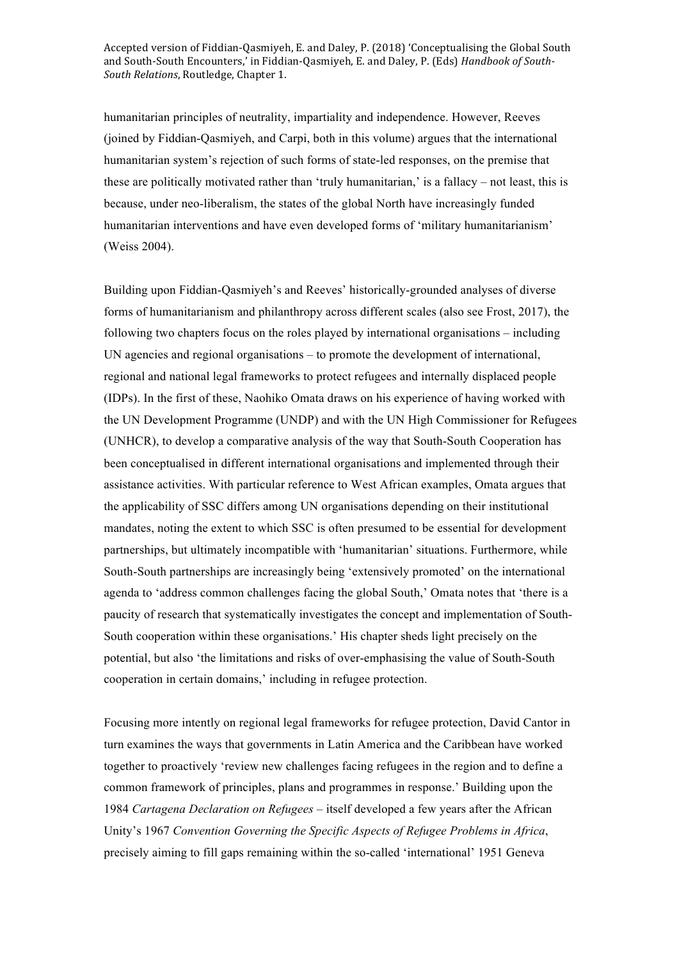humanitarian principles of neutrality, impartiality and independence. However, Reeves (joined by Fiddian-Qasmiyeh, and Carpi, both in this volume) argues that the international humanitarian system's rejection of such forms of state-led responses, on the premise that these are politically motivated rather than 'truly humanitarian,' is a fallacy – not least, this is because, under neo-liberalism, the states of the global North have increasingly funded humanitarian interventions and have even developed forms of 'military humanitarianism' (Weiss 2004).

Building upon Fiddian-Qasmiyeh's and Reeves' historically-grounded analyses of diverse forms of humanitarianism and philanthropy across different scales (also see Frost, 2017), the following two chapters focus on the roles played by international organisations – including UN agencies and regional organisations – to promote the development of international, regional and national legal frameworks to protect refugees and internally displaced people (IDPs). In the first of these, Naohiko Omata draws on his experience of having worked with the UN Development Programme (UNDP) and with the UN High Commissioner for Refugees (UNHCR), to develop a comparative analysis of the way that South-South Cooperation has been conceptualised in different international organisations and implemented through their assistance activities. With particular reference to West African examples, Omata argues that the applicability of SSC differs among UN organisations depending on their institutional mandates, noting the extent to which SSC is often presumed to be essential for development partnerships, but ultimately incompatible with 'humanitarian' situations. Furthermore, while South-South partnerships are increasingly being 'extensively promoted' on the international agenda to 'address common challenges facing the global South,' Omata notes that 'there is a paucity of research that systematically investigates the concept and implementation of South-South cooperation within these organisations.' His chapter sheds light precisely on the potential, but also 'the limitations and risks of over-emphasising the value of South-South cooperation in certain domains,' including in refugee protection.

Focusing more intently on regional legal frameworks for refugee protection, David Cantor in turn examines the ways that governments in Latin America and the Caribbean have worked together to proactively 'review new challenges facing refugees in the region and to define a common framework of principles, plans and programmes in response.' Building upon the 1984 *Cartagena Declaration on Refugees* – itself developed a few years after the African Unity's 1967 *Convention Governing the Specific Aspects of Refugee Problems in Africa*, precisely aiming to fill gaps remaining within the so-called 'international' 1951 Geneva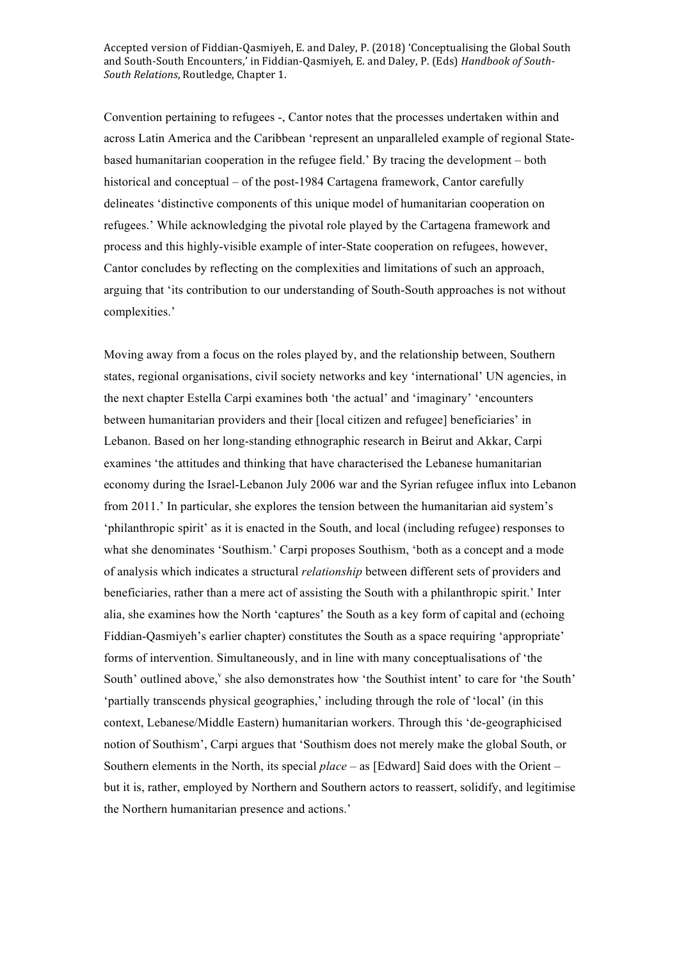Convention pertaining to refugees -, Cantor notes that the processes undertaken within and across Latin America and the Caribbean 'represent an unparalleled example of regional Statebased humanitarian cooperation in the refugee field.' By tracing the development – both historical and conceptual – of the post-1984 Cartagena framework, Cantor carefully delineates 'distinctive components of this unique model of humanitarian cooperation on refugees.' While acknowledging the pivotal role played by the Cartagena framework and process and this highly-visible example of inter-State cooperation on refugees, however, Cantor concludes by reflecting on the complexities and limitations of such an approach, arguing that 'its contribution to our understanding of South-South approaches is not without complexities.'

Moving away from a focus on the roles played by, and the relationship between, Southern states, regional organisations, civil society networks and key 'international' UN agencies, in the next chapter Estella Carpi examines both 'the actual' and 'imaginary' 'encounters between humanitarian providers and their [local citizen and refugee] beneficiaries' in Lebanon. Based on her long-standing ethnographic research in Beirut and Akkar, Carpi examines 'the attitudes and thinking that have characterised the Lebanese humanitarian economy during the Israel-Lebanon July 2006 war and the Syrian refugee influx into Lebanon from 2011.' In particular, she explores the tension between the humanitarian aid system's 'philanthropic spirit' as it is enacted in the South, and local (including refugee) responses to what she denominates 'Southism.' Carpi proposes Southism, 'both as a concept and a mode of analysis which indicates a structural *relationship* between different sets of providers and beneficiaries, rather than a mere act of assisting the South with a philanthropic spirit.' Inter alia, she examines how the North 'captures' the South as a key form of capital and (echoing Fiddian-Qasmiyeh's earlier chapter) constitutes the South as a space requiring 'appropriate' forms of intervention. Simultaneously, and in line with many conceptualisations of 'the South' outlined above,<sup>v</sup> she also demonstrates how 'the Southist intent' to care for 'the South' 'partially transcends physical geographies,' including through the role of 'local' (in this context, Lebanese/Middle Eastern) humanitarian workers. Through this 'de-geographicised notion of Southism', Carpi argues that 'Southism does not merely make the global South, or Southern elements in the North, its special *place* – as [Edward] Said does with the Orient – but it is, rather, employed by Northern and Southern actors to reassert, solidify, and legitimise the Northern humanitarian presence and actions.'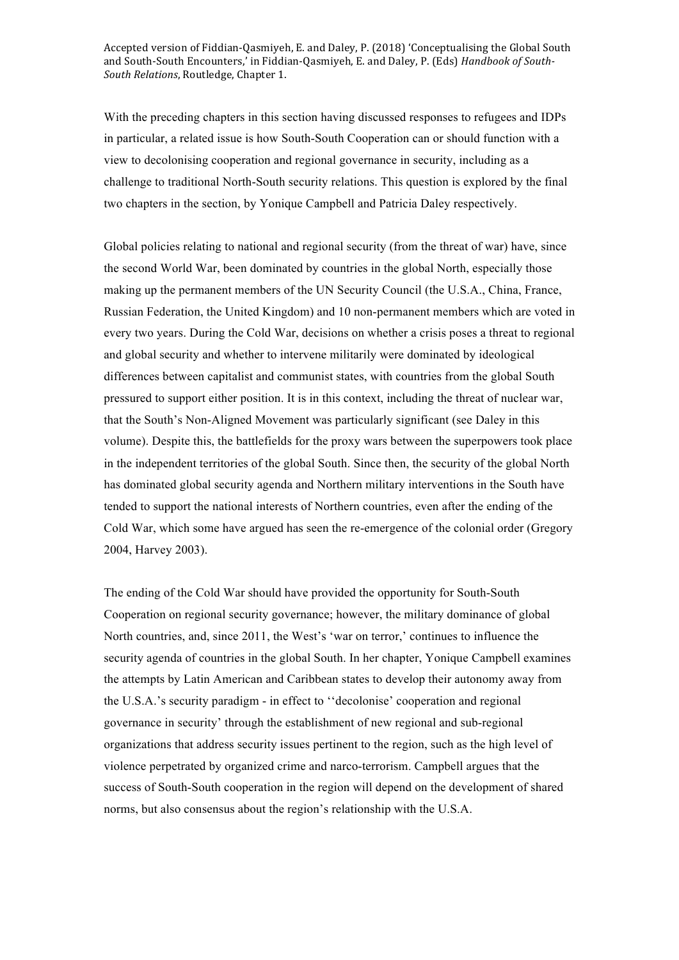With the preceding chapters in this section having discussed responses to refugees and IDPs in particular, a related issue is how South-South Cooperation can or should function with a view to decolonising cooperation and regional governance in security, including as a challenge to traditional North-South security relations. This question is explored by the final two chapters in the section, by Yonique Campbell and Patricia Daley respectively.

Global policies relating to national and regional security (from the threat of war) have, since the second World War, been dominated by countries in the global North, especially those making up the permanent members of the UN Security Council (the U.S.A., China, France, Russian Federation, the United Kingdom) and 10 non-permanent members which are voted in every two years. During the Cold War, decisions on whether a crisis poses a threat to regional and global security and whether to intervene militarily were dominated by ideological differences between capitalist and communist states, with countries from the global South pressured to support either position. It is in this context, including the threat of nuclear war, that the South's Non-Aligned Movement was particularly significant (see Daley in this volume). Despite this, the battlefields for the proxy wars between the superpowers took place in the independent territories of the global South. Since then, the security of the global North has dominated global security agenda and Northern military interventions in the South have tended to support the national interests of Northern countries, even after the ending of the Cold War, which some have argued has seen the re-emergence of the colonial order (Gregory 2004, Harvey 2003).

The ending of the Cold War should have provided the opportunity for South-South Cooperation on regional security governance; however, the military dominance of global North countries, and, since 2011, the West's 'war on terror,' continues to influence the security agenda of countries in the global South. In her chapter, Yonique Campbell examines the attempts by Latin American and Caribbean states to develop their autonomy away from the U.S.A.'s security paradigm - in effect to ''decolonise' cooperation and regional governance in security' through the establishment of new regional and sub-regional organizations that address security issues pertinent to the region, such as the high level of violence perpetrated by organized crime and narco-terrorism. Campbell argues that the success of South-South cooperation in the region will depend on the development of shared norms, but also consensus about the region's relationship with the U.S.A.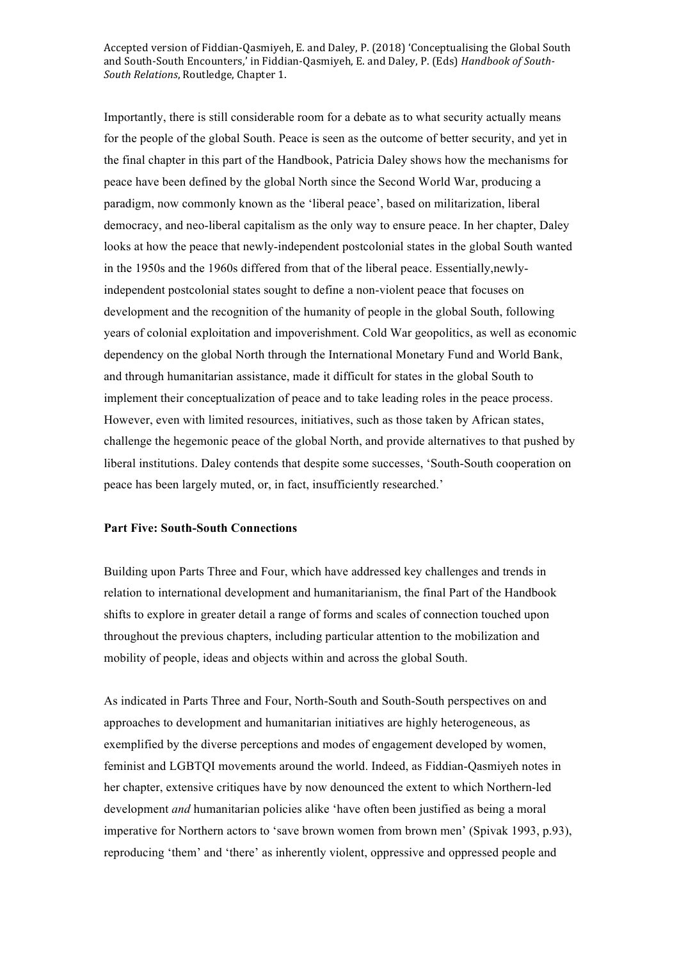Importantly, there is still considerable room for a debate as to what security actually means for the people of the global South. Peace is seen as the outcome of better security, and yet in the final chapter in this part of the Handbook, Patricia Daley shows how the mechanisms for peace have been defined by the global North since the Second World War, producing a paradigm, now commonly known as the 'liberal peace', based on militarization, liberal democracy, and neo-liberal capitalism as the only way to ensure peace. In her chapter, Daley looks at how the peace that newly-independent postcolonial states in the global South wanted in the 1950s and the 1960s differed from that of the liberal peace. Essentially,newlyindependent postcolonial states sought to define a non-violent peace that focuses on development and the recognition of the humanity of people in the global South, following years of colonial exploitation and impoverishment. Cold War geopolitics, as well as economic dependency on the global North through the International Monetary Fund and World Bank, and through humanitarian assistance, made it difficult for states in the global South to implement their conceptualization of peace and to take leading roles in the peace process. However, even with limited resources, initiatives, such as those taken by African states, challenge the hegemonic peace of the global North, and provide alternatives to that pushed by liberal institutions. Daley contends that despite some successes, 'South-South cooperation on peace has been largely muted, or, in fact, insufficiently researched.'

### **Part Five: South-South Connections**

Building upon Parts Three and Four, which have addressed key challenges and trends in relation to international development and humanitarianism, the final Part of the Handbook shifts to explore in greater detail a range of forms and scales of connection touched upon throughout the previous chapters, including particular attention to the mobilization and mobility of people, ideas and objects within and across the global South.

As indicated in Parts Three and Four, North-South and South-South perspectives on and approaches to development and humanitarian initiatives are highly heterogeneous, as exemplified by the diverse perceptions and modes of engagement developed by women, feminist and LGBTQI movements around the world. Indeed, as Fiddian-Qasmiyeh notes in her chapter, extensive critiques have by now denounced the extent to which Northern-led development *and* humanitarian policies alike 'have often been justified as being a moral imperative for Northern actors to 'save brown women from brown men' (Spivak 1993, p.93), reproducing 'them' and 'there' as inherently violent, oppressive and oppressed people and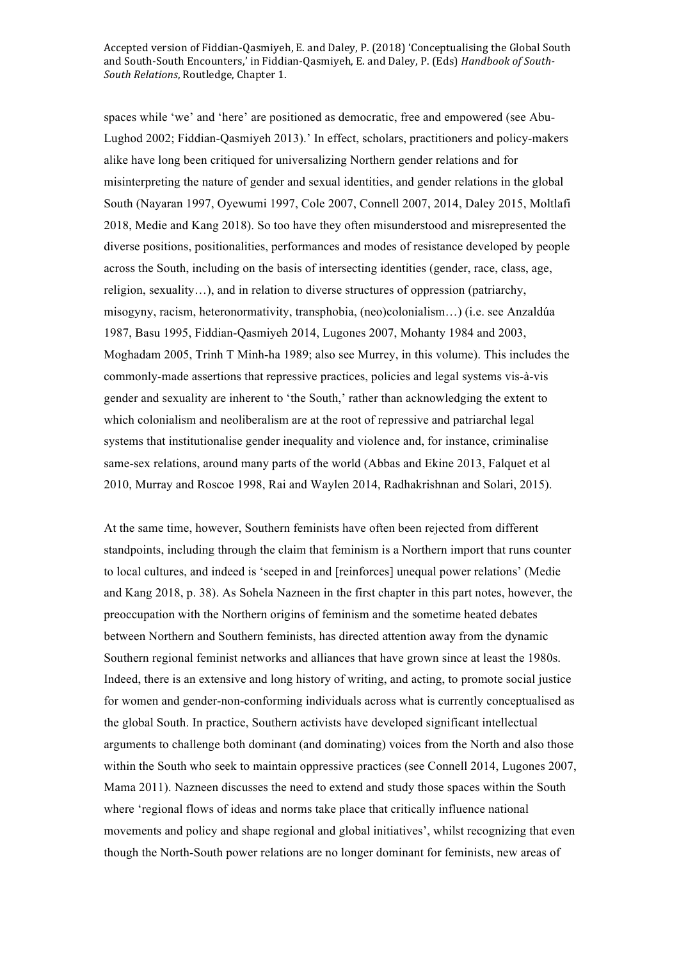spaces while 'we' and 'here' are positioned as democratic, free and empowered (see Abu-Lughod 2002; Fiddian-Qasmiyeh 2013).' In effect, scholars, practitioners and policy-makers alike have long been critiqued for universalizing Northern gender relations and for misinterpreting the nature of gender and sexual identities, and gender relations in the global South (Nayaran 1997, Oyewumi 1997, Cole 2007, Connell 2007, 2014, Daley 2015, Moltlafi 2018, Medie and Kang 2018). So too have they often misunderstood and misrepresented the diverse positions, positionalities, performances and modes of resistance developed by people across the South, including on the basis of intersecting identities (gender, race, class, age, religion, sexuality…), and in relation to diverse structures of oppression (patriarchy, misogyny, racism, heteronormativity, transphobia, (neo)colonialism…) (i.e. see Anzaldúa 1987, Basu 1995, Fiddian-Qasmiyeh 2014, Lugones 2007, Mohanty 1984 and 2003, Moghadam 2005, Trinh T Minh-ha 1989; also see Murrey, in this volume). This includes the commonly-made assertions that repressive practices, policies and legal systems vis-à-vis gender and sexuality are inherent to 'the South,' rather than acknowledging the extent to which colonialism and neoliberalism are at the root of repressive and patriarchal legal systems that institutionalise gender inequality and violence and, for instance, criminalise same-sex relations, around many parts of the world (Abbas and Ekine 2013, Falquet et al 2010, Murray and Roscoe 1998, Rai and Waylen 2014, Radhakrishnan and Solari, 2015).

At the same time, however, Southern feminists have often been rejected from different standpoints, including through the claim that feminism is a Northern import that runs counter to local cultures, and indeed is 'seeped in and [reinforces] unequal power relations' (Medie and Kang 2018, p. 38). As Sohela Nazneen in the first chapter in this part notes, however, the preoccupation with the Northern origins of feminism and the sometime heated debates between Northern and Southern feminists, has directed attention away from the dynamic Southern regional feminist networks and alliances that have grown since at least the 1980s. Indeed, there is an extensive and long history of writing, and acting, to promote social justice for women and gender-non-conforming individuals across what is currently conceptualised as the global South. In practice, Southern activists have developed significant intellectual arguments to challenge both dominant (and dominating) voices from the North and also those within the South who seek to maintain oppressive practices (see Connell 2014, Lugones 2007, Mama 2011). Nazneen discusses the need to extend and study those spaces within the South where 'regional flows of ideas and norms take place that critically influence national movements and policy and shape regional and global initiatives', whilst recognizing that even though the North-South power relations are no longer dominant for feminists, new areas of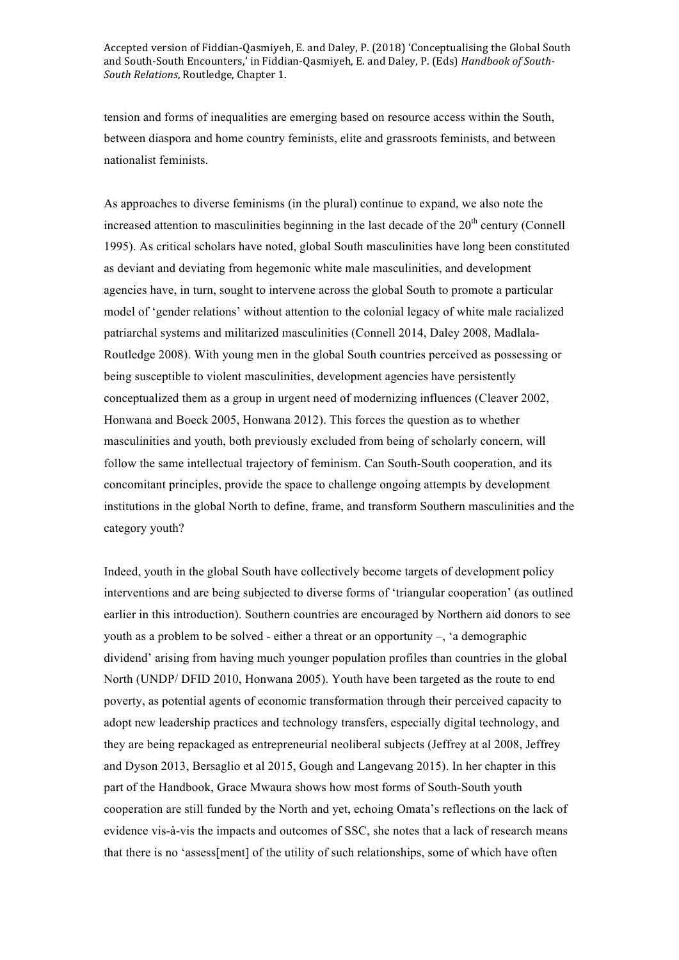tension and forms of inequalities are emerging based on resource access within the South, between diaspora and home country feminists, elite and grassroots feminists, and between nationalist feminists.

As approaches to diverse feminisms (in the plural) continue to expand, we also note the increased attention to masculinities beginning in the last decade of the  $20<sup>th</sup>$  century (Connell 1995). As critical scholars have noted, global South masculinities have long been constituted as deviant and deviating from hegemonic white male masculinities, and development agencies have, in turn, sought to intervene across the global South to promote a particular model of 'gender relations' without attention to the colonial legacy of white male racialized patriarchal systems and militarized masculinities (Connell 2014, Daley 2008, Madlala-Routledge 2008). With young men in the global South countries perceived as possessing or being susceptible to violent masculinities, development agencies have persistently conceptualized them as a group in urgent need of modernizing influences (Cleaver 2002, Honwana and Boeck 2005, Honwana 2012). This forces the question as to whether masculinities and youth, both previously excluded from being of scholarly concern, will follow the same intellectual trajectory of feminism. Can South-South cooperation, and its concomitant principles, provide the space to challenge ongoing attempts by development institutions in the global North to define, frame, and transform Southern masculinities and the category youth?

Indeed, youth in the global South have collectively become targets of development policy interventions and are being subjected to diverse forms of 'triangular cooperation' (as outlined earlier in this introduction). Southern countries are encouraged by Northern aid donors to see youth as a problem to be solved - either a threat or an opportunity –, 'a demographic dividend' arising from having much younger population profiles than countries in the global North (UNDP/ DFID 2010, Honwana 2005). Youth have been targeted as the route to end poverty, as potential agents of economic transformation through their perceived capacity to adopt new leadership practices and technology transfers, especially digital technology, and they are being repackaged as entrepreneurial neoliberal subjects (Jeffrey at al 2008, Jeffrey and Dyson 2013, Bersaglio et al 2015, Gough and Langevang 2015). In her chapter in this part of the Handbook, Grace Mwaura shows how most forms of South-South youth cooperation are still funded by the North and yet, echoing Omata's reflections on the lack of evidence vis-à-vis the impacts and outcomes of SSC, she notes that a lack of research means that there is no 'assess[ment] of the utility of such relationships, some of which have often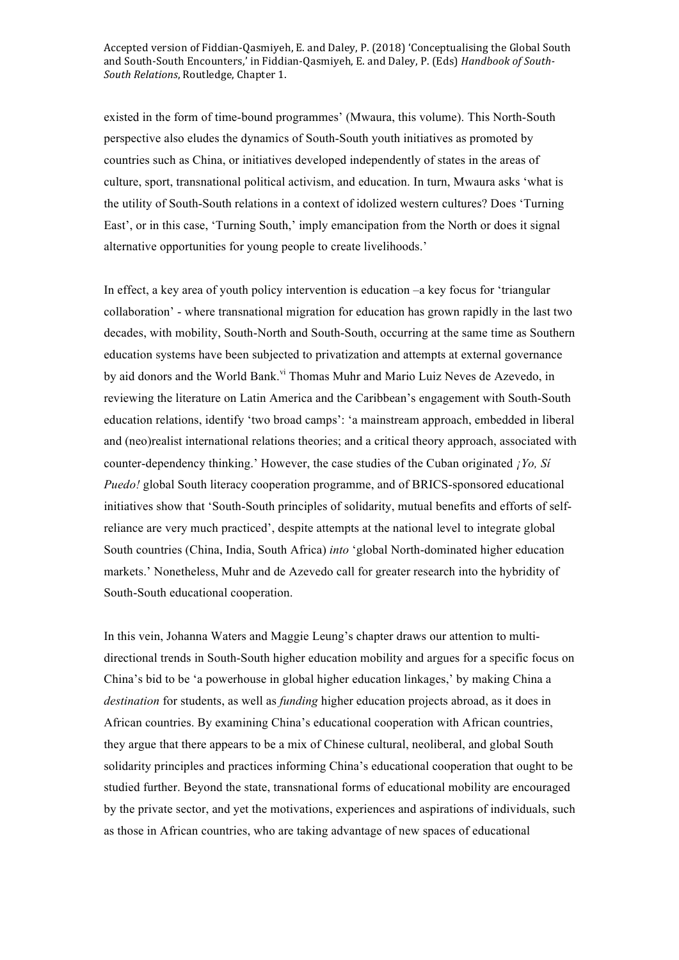existed in the form of time-bound programmes' (Mwaura, this volume). This North-South perspective also eludes the dynamics of South-South youth initiatives as promoted by countries such as China, or initiatives developed independently of states in the areas of culture, sport, transnational political activism, and education. In turn, Mwaura asks 'what is the utility of South-South relations in a context of idolized western cultures? Does 'Turning East', or in this case, 'Turning South,' imply emancipation from the North or does it signal alternative opportunities for young people to create livelihoods.'

In effect, a key area of youth policy intervention is education –a key focus for 'triangular collaboration' - where transnational migration for education has grown rapidly in the last two decades, with mobility, South-North and South-South, occurring at the same time as Southern education systems have been subjected to privatization and attempts at external governance by aid donors and the World Bank.<sup>vi</sup> Thomas Muhr and Mario Luiz Neves de Azevedo, in reviewing the literature on Latin America and the Caribbean's engagement with South-South education relations, identify 'two broad camps': 'a mainstream approach, embedded in liberal and (neo)realist international relations theories; and a critical theory approach, associated with counter-dependency thinking.' However, the case studies of the Cuban originated *¡Yo, Sí Puedo!* global South literacy cooperation programme, and of BRICS-sponsored educational initiatives show that 'South-South principles of solidarity, mutual benefits and efforts of selfreliance are very much practiced', despite attempts at the national level to integrate global South countries (China, India, South Africa) *into* 'global North-dominated higher education markets.' Nonetheless, Muhr and de Azevedo call for greater research into the hybridity of South-South educational cooperation.

In this vein, Johanna Waters and Maggie Leung's chapter draws our attention to multidirectional trends in South-South higher education mobility and argues for a specific focus on China's bid to be 'a powerhouse in global higher education linkages,' by making China a *destination* for students, as well as *funding* higher education projects abroad, as it does in African countries. By examining China's educational cooperation with African countries, they argue that there appears to be a mix of Chinese cultural, neoliberal, and global South solidarity principles and practices informing China's educational cooperation that ought to be studied further. Beyond the state, transnational forms of educational mobility are encouraged by the private sector, and yet the motivations, experiences and aspirations of individuals, such as those in African countries, who are taking advantage of new spaces of educational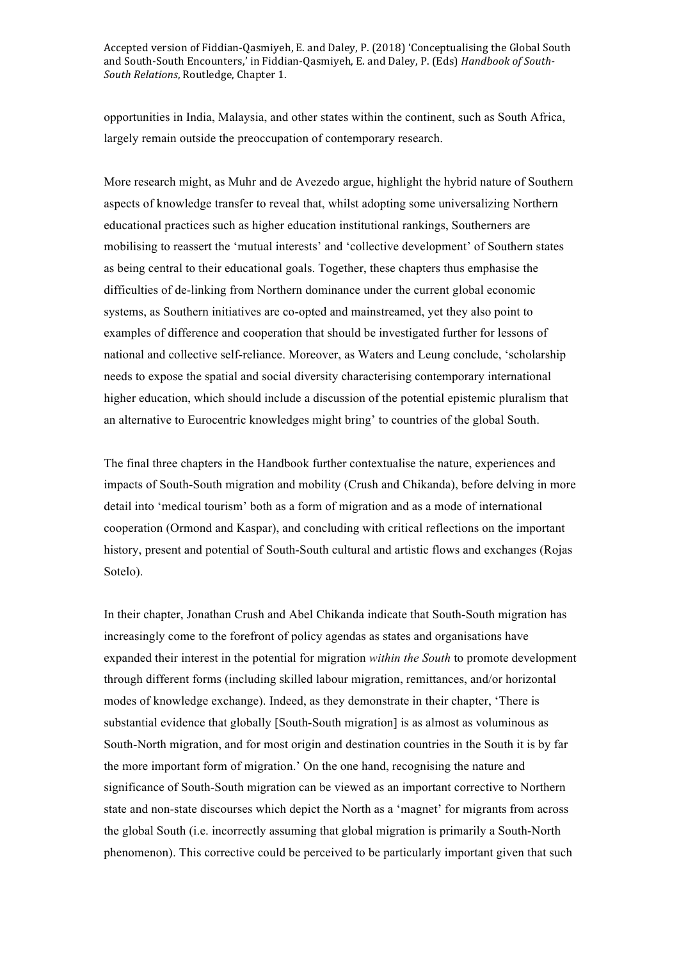opportunities in India, Malaysia, and other states within the continent, such as South Africa, largely remain outside the preoccupation of contemporary research.

More research might, as Muhr and de Avezedo argue, highlight the hybrid nature of Southern aspects of knowledge transfer to reveal that, whilst adopting some universalizing Northern educational practices such as higher education institutional rankings, Southerners are mobilising to reassert the 'mutual interests' and 'collective development' of Southern states as being central to their educational goals. Together, these chapters thus emphasise the difficulties of de-linking from Northern dominance under the current global economic systems, as Southern initiatives are co-opted and mainstreamed, yet they also point to examples of difference and cooperation that should be investigated further for lessons of national and collective self-reliance. Moreover, as Waters and Leung conclude, 'scholarship needs to expose the spatial and social diversity characterising contemporary international higher education, which should include a discussion of the potential epistemic pluralism that an alternative to Eurocentric knowledges might bring' to countries of the global South.

The final three chapters in the Handbook further contextualise the nature, experiences and impacts of South-South migration and mobility (Crush and Chikanda), before delving in more detail into 'medical tourism' both as a form of migration and as a mode of international cooperation (Ormond and Kaspar), and concluding with critical reflections on the important history, present and potential of South-South cultural and artistic flows and exchanges (Rojas Sotelo).

In their chapter, Jonathan Crush and Abel Chikanda indicate that South-South migration has increasingly come to the forefront of policy agendas as states and organisations have expanded their interest in the potential for migration *within the South* to promote development through different forms (including skilled labour migration, remittances, and/or horizontal modes of knowledge exchange). Indeed, as they demonstrate in their chapter, 'There is substantial evidence that globally [South-South migration] is as almost as voluminous as South-North migration, and for most origin and destination countries in the South it is by far the more important form of migration.' On the one hand, recognising the nature and significance of South-South migration can be viewed as an important corrective to Northern state and non-state discourses which depict the North as a 'magnet' for migrants from across the global South (i.e. incorrectly assuming that global migration is primarily a South-North phenomenon). This corrective could be perceived to be particularly important given that such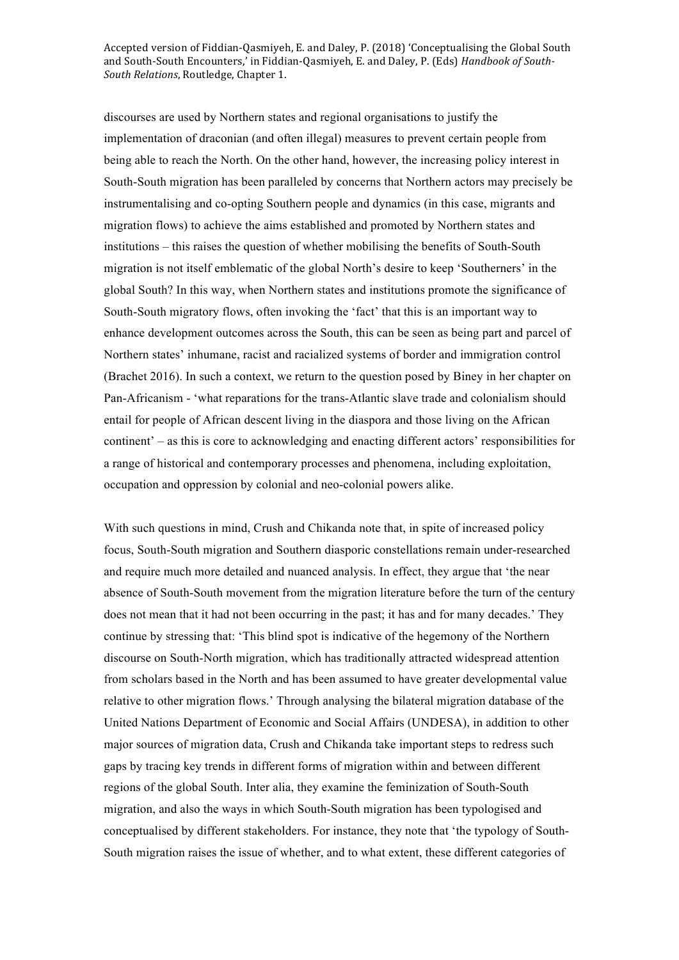discourses are used by Northern states and regional organisations to justify the implementation of draconian (and often illegal) measures to prevent certain people from being able to reach the North. On the other hand, however, the increasing policy interest in South-South migration has been paralleled by concerns that Northern actors may precisely be instrumentalising and co-opting Southern people and dynamics (in this case, migrants and migration flows) to achieve the aims established and promoted by Northern states and institutions – this raises the question of whether mobilising the benefits of South-South migration is not itself emblematic of the global North's desire to keep 'Southerners' in the global South? In this way, when Northern states and institutions promote the significance of South-South migratory flows, often invoking the 'fact' that this is an important way to enhance development outcomes across the South, this can be seen as being part and parcel of Northern states' inhumane, racist and racialized systems of border and immigration control (Brachet 2016). In such a context, we return to the question posed by Biney in her chapter on Pan-Africanism - 'what reparations for the trans-Atlantic slave trade and colonialism should entail for people of African descent living in the diaspora and those living on the African continent' – as this is core to acknowledging and enacting different actors' responsibilities for a range of historical and contemporary processes and phenomena, including exploitation, occupation and oppression by colonial and neo-colonial powers alike.

With such questions in mind, Crush and Chikanda note that, in spite of increased policy focus, South-South migration and Southern diasporic constellations remain under-researched and require much more detailed and nuanced analysis. In effect, they argue that 'the near absence of South-South movement from the migration literature before the turn of the century does not mean that it had not been occurring in the past; it has and for many decades.' They continue by stressing that: 'This blind spot is indicative of the hegemony of the Northern discourse on South-North migration, which has traditionally attracted widespread attention from scholars based in the North and has been assumed to have greater developmental value relative to other migration flows.' Through analysing the bilateral migration database of the United Nations Department of Economic and Social Affairs (UNDESA), in addition to other major sources of migration data, Crush and Chikanda take important steps to redress such gaps by tracing key trends in different forms of migration within and between different regions of the global South. Inter alia, they examine the feminization of South-South migration, and also the ways in which South-South migration has been typologised and conceptualised by different stakeholders. For instance, they note that 'the typology of South-South migration raises the issue of whether, and to what extent, these different categories of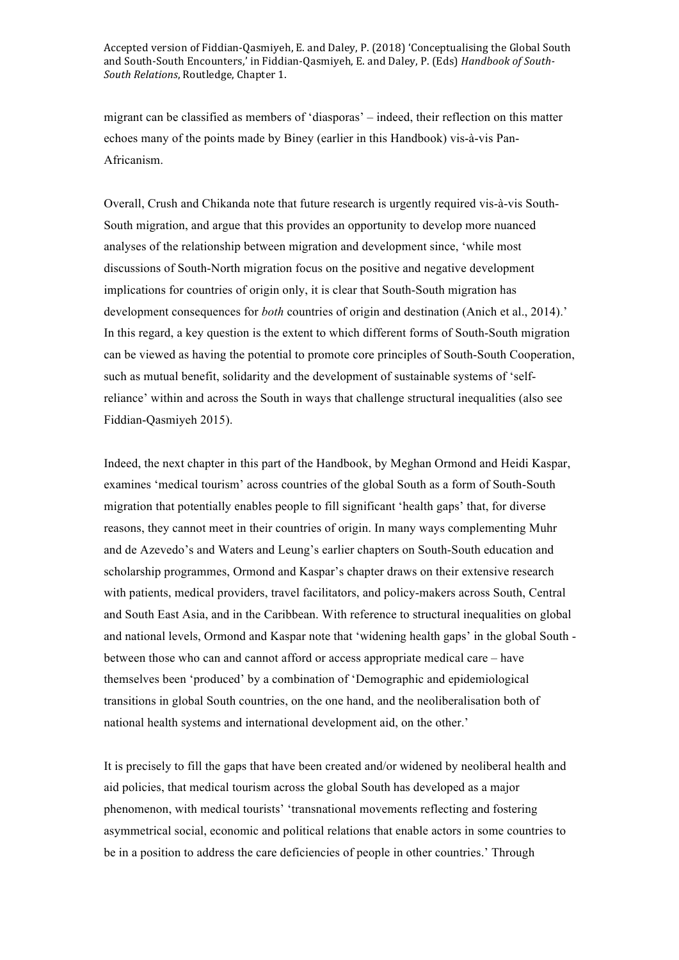migrant can be classified as members of 'diasporas' – indeed, their reflection on this matter echoes many of the points made by Biney (earlier in this Handbook) vis-à-vis Pan-Africanism.

Overall, Crush and Chikanda note that future research is urgently required vis-à-vis South-South migration, and argue that this provides an opportunity to develop more nuanced analyses of the relationship between migration and development since, 'while most discussions of South-North migration focus on the positive and negative development implications for countries of origin only, it is clear that South-South migration has development consequences for *both* countries of origin and destination (Anich et al., 2014).' In this regard, a key question is the extent to which different forms of South-South migration can be viewed as having the potential to promote core principles of South-South Cooperation, such as mutual benefit, solidarity and the development of sustainable systems of 'selfreliance' within and across the South in ways that challenge structural inequalities (also see Fiddian-Qasmiyeh 2015).

Indeed, the next chapter in this part of the Handbook, by Meghan Ormond and Heidi Kaspar, examines 'medical tourism' across countries of the global South as a form of South-South migration that potentially enables people to fill significant 'health gaps' that, for diverse reasons, they cannot meet in their countries of origin. In many ways complementing Muhr and de Azevedo's and Waters and Leung's earlier chapters on South-South education and scholarship programmes, Ormond and Kaspar's chapter draws on their extensive research with patients, medical providers, travel facilitators, and policy-makers across South, Central and South East Asia, and in the Caribbean. With reference to structural inequalities on global and national levels, Ormond and Kaspar note that 'widening health gaps' in the global South between those who can and cannot afford or access appropriate medical care – have themselves been 'produced' by a combination of 'Demographic and epidemiological transitions in global South countries, on the one hand, and the neoliberalisation both of national health systems and international development aid, on the other.'

It is precisely to fill the gaps that have been created and/or widened by neoliberal health and aid policies, that medical tourism across the global South has developed as a major phenomenon, with medical tourists' 'transnational movements reflecting and fostering asymmetrical social, economic and political relations that enable actors in some countries to be in a position to address the care deficiencies of people in other countries.' Through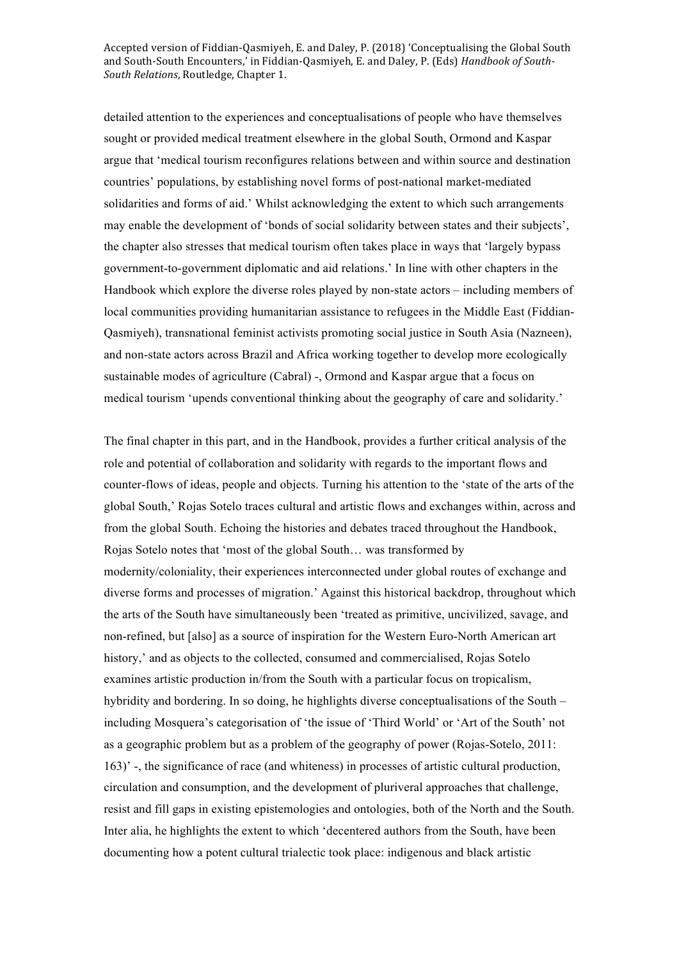detailed attention to the experiences and conceptualisations of people who have themselves sought or provided medical treatment elsewhere in the global South, Ormond and Kaspar argue that 'medical tourism reconfigures relations between and within source and destination countries' populations, by establishing novel forms of post-national market-mediated solidarities and forms of aid.' Whilst acknowledging the extent to which such arrangements may enable the development of 'bonds of social solidarity between states and their subjects', the chapter also stresses that medical tourism often takes place in ways that 'largely bypass government-to-government diplomatic and aid relations.' In line with other chapters in the Handbook which explore the diverse roles played by non-state actors – including members of local communities providing humanitarian assistance to refugees in the Middle East (Fiddian-Qasmiyeh), transnational feminist activists promoting social justice in South Asia (Nazneen), and non-state actors across Brazil and Africa working together to develop more ecologically sustainable modes of agriculture (Cabral) -, Ormond and Kaspar argue that a focus on medical tourism 'upends conventional thinking about the geography of care and solidarity.'

The final chapter in this part, and in the Handbook, provides a further critical analysis of the role and potential of collaboration and solidarity with regards to the important flows and counter-flows of ideas, people and objects. Turning his attention to the 'state of the arts of the global South,' Rojas Sotelo traces cultural and artistic flows and exchanges within, across and from the global South. Echoing the histories and debates traced throughout the Handbook, Rojas Sotelo notes that 'most of the global South… was transformed by modernity/coloniality, their experiences interconnected under global routes of exchange and diverse forms and processes of migration.' Against this historical backdrop, throughout which the arts of the South have simultaneously been 'treated as primitive, uncivilized, savage, and non-refined, but [also] as a source of inspiration for the Western Euro-North American art history,' and as objects to the collected, consumed and commercialised, Rojas Sotelo examines artistic production in/from the South with a particular focus on tropicalism, hybridity and bordering. In so doing, he highlights diverse conceptualisations of the South – including Mosquera's categorisation of 'the issue of 'Third World' or 'Art of the South' not as a geographic problem but as a problem of the geography of power (Rojas-Sotelo, 2011: 163)' -, the significance of race (and whiteness) in processes of artistic cultural production, circulation and consumption, and the development of pluriveral approaches that challenge, resist and fill gaps in existing epistemologies and ontologies, both of the North and the South. Inter alia, he highlights the extent to which 'decentered authors from the South, have been documenting how a potent cultural trialectic took place: indigenous and black artistic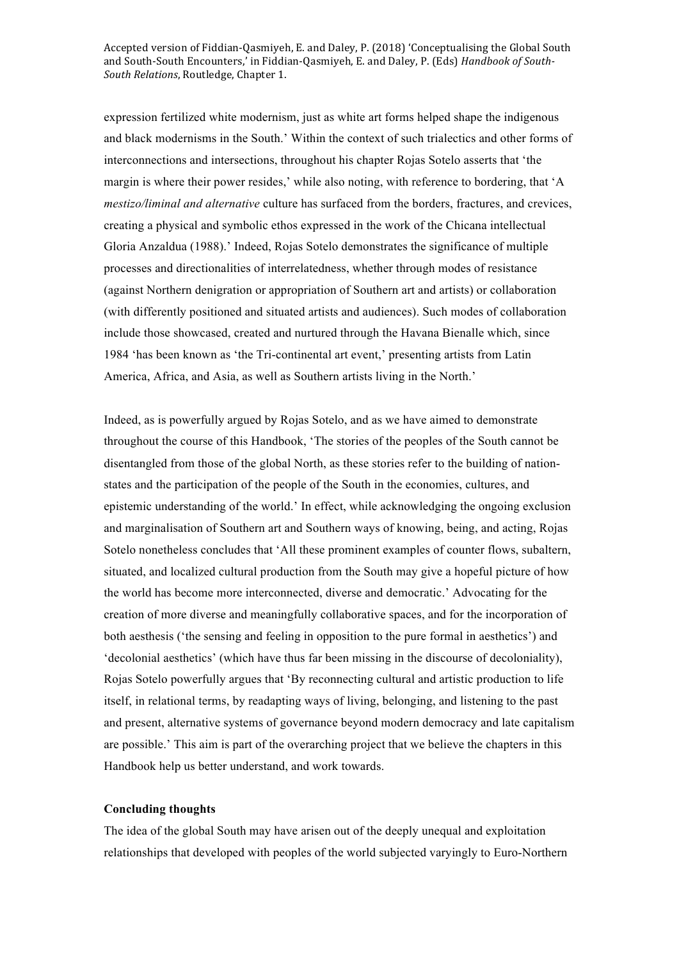expression fertilized white modernism, just as white art forms helped shape the indigenous and black modernisms in the South.' Within the context of such trialectics and other forms of interconnections and intersections, throughout his chapter Rojas Sotelo asserts that 'the margin is where their power resides,' while also noting, with reference to bordering, that 'A *mestizo/liminal and alternative* culture has surfaced from the borders, fractures, and crevices, creating a physical and symbolic ethos expressed in the work of the Chicana intellectual Gloria Anzaldua (1988).' Indeed, Rojas Sotelo demonstrates the significance of multiple processes and directionalities of interrelatedness, whether through modes of resistance (against Northern denigration or appropriation of Southern art and artists) or collaboration (with differently positioned and situated artists and audiences). Such modes of collaboration include those showcased, created and nurtured through the Havana Bienalle which, since 1984 'has been known as 'the Tri-continental art event,' presenting artists from Latin America, Africa, and Asia, as well as Southern artists living in the North.'

Indeed, as is powerfully argued by Rojas Sotelo, and as we have aimed to demonstrate throughout the course of this Handbook, 'The stories of the peoples of the South cannot be disentangled from those of the global North, as these stories refer to the building of nationstates and the participation of the people of the South in the economies, cultures, and epistemic understanding of the world.' In effect, while acknowledging the ongoing exclusion and marginalisation of Southern art and Southern ways of knowing, being, and acting, Rojas Sotelo nonetheless concludes that 'All these prominent examples of counter flows, subaltern, situated, and localized cultural production from the South may give a hopeful picture of how the world has become more interconnected, diverse and democratic.' Advocating for the creation of more diverse and meaningfully collaborative spaces, and for the incorporation of both aesthesis ('the sensing and feeling in opposition to the pure formal in aesthetics') and 'decolonial aesthetics' (which have thus far been missing in the discourse of decoloniality), Rojas Sotelo powerfully argues that 'By reconnecting cultural and artistic production to life itself, in relational terms, by readapting ways of living, belonging, and listening to the past and present, alternative systems of governance beyond modern democracy and late capitalism are possible.' This aim is part of the overarching project that we believe the chapters in this Handbook help us better understand, and work towards.

## **Concluding thoughts**

The idea of the global South may have arisen out of the deeply unequal and exploitation relationships that developed with peoples of the world subjected varyingly to Euro-Northern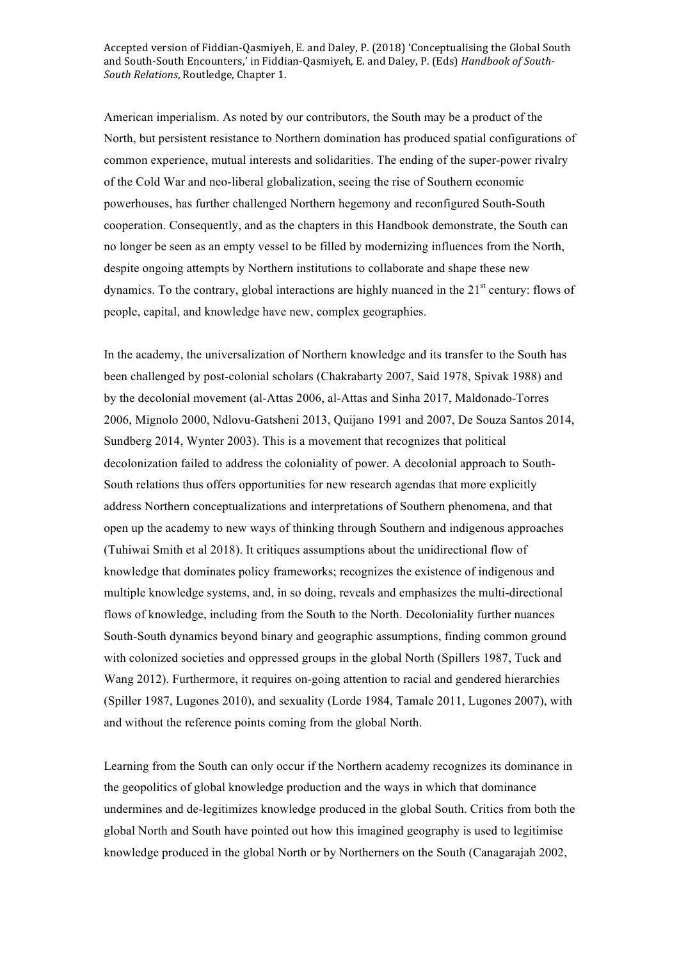American imperialism. As noted by our contributors, the South may be a product of the North, but persistent resistance to Northern domination has produced spatial configurations of common experience, mutual interests and solidarities. The ending of the super-power rivalry of the Cold War and neo-liberal globalization, seeing the rise of Southern economic powerhouses, has further challenged Northern hegemony and reconfigured South-South cooperation. Consequently, and as the chapters in this Handbook demonstrate, the South can no longer be seen as an empty vessel to be filled by modernizing influences from the North, despite ongoing attempts by Northern institutions to collaborate and shape these new dynamics. To the contrary, global interactions are highly nuanced in the  $21<sup>st</sup>$  century: flows of people, capital, and knowledge have new, complex geographies.

In the academy, the universalization of Northern knowledge and its transfer to the South has been challenged by post-colonial scholars (Chakrabarty 2007, Said 1978, Spivak 1988) and by the decolonial movement (al-Attas 2006, al-Attas and Sinha 2017, Maldonado-Torres 2006, Mignolo 2000, Ndlovu-Gatsheni 2013, Quijano 1991 and 2007, De Souza Santos 2014, Sundberg 2014, Wynter 2003). This is a movement that recognizes that political decolonization failed to address the coloniality of power. A decolonial approach to South-South relations thus offers opportunities for new research agendas that more explicitly address Northern conceptualizations and interpretations of Southern phenomena, and that open up the academy to new ways of thinking through Southern and indigenous approaches (Tuhiwai Smith et al 2018). It critiques assumptions about the unidirectional flow of knowledge that dominates policy frameworks; recognizes the existence of indigenous and multiple knowledge systems, and, in so doing, reveals and emphasizes the multi-directional flows of knowledge, including from the South to the North. Decoloniality further nuances South-South dynamics beyond binary and geographic assumptions, finding common ground with colonized societies and oppressed groups in the global North (Spillers 1987, Tuck and Wang 2012). Furthermore, it requires on-going attention to racial and gendered hierarchies (Spiller 1987, Lugones 2010), and sexuality (Lorde 1984, Tamale 2011, Lugones 2007), with and without the reference points coming from the global North.

Learning from the South can only occur if the Northern academy recognizes its dominance in the geopolitics of global knowledge production and the ways in which that dominance undermines and de-legitimizes knowledge produced in the global South. Critics from both the global North and South have pointed out how this imagined geography is used to legitimise knowledge produced in the global North or by Northerners on the South (Canagarajah 2002,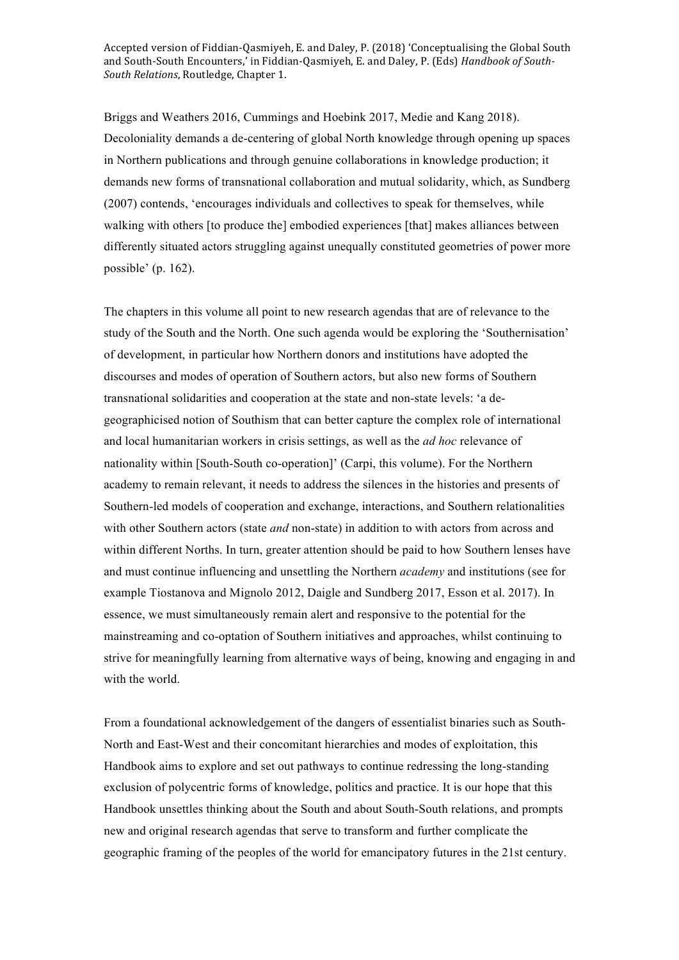Briggs and Weathers 2016, Cummings and Hoebink 2017, Medie and Kang 2018). Decoloniality demands a de-centering of global North knowledge through opening up spaces in Northern publications and through genuine collaborations in knowledge production; it demands new forms of transnational collaboration and mutual solidarity, which, as Sundberg (2007) contends, 'encourages individuals and collectives to speak for themselves, while walking with others [to produce the] embodied experiences [that] makes alliances between differently situated actors struggling against unequally constituted geometries of power more possible' (p. 162).

The chapters in this volume all point to new research agendas that are of relevance to the study of the South and the North. One such agenda would be exploring the 'Southernisation' of development, in particular how Northern donors and institutions have adopted the discourses and modes of operation of Southern actors, but also new forms of Southern transnational solidarities and cooperation at the state and non-state levels: 'a degeographicised notion of Southism that can better capture the complex role of international and local humanitarian workers in crisis settings, as well as the *ad hoc* relevance of nationality within [South-South co-operation]' (Carpi, this volume). For the Northern academy to remain relevant, it needs to address the silences in the histories and presents of Southern-led models of cooperation and exchange, interactions, and Southern relationalities with other Southern actors (state *and* non-state) in addition to with actors from across and within different Norths. In turn, greater attention should be paid to how Southern lenses have and must continue influencing and unsettling the Northern *academy* and institutions (see for example Tiostanova and Mignolo 2012, Daigle and Sundberg 2017, Esson et al. 2017). In essence, we must simultaneously remain alert and responsive to the potential for the mainstreaming and co-optation of Southern initiatives and approaches, whilst continuing to strive for meaningfully learning from alternative ways of being, knowing and engaging in and with the world. 

From a foundational acknowledgement of the dangers of essentialist binaries such as South-North and East-West and their concomitant hierarchies and modes of exploitation, this Handbook aims to explore and set out pathways to continue redressing the long-standing exclusion of polycentric forms of knowledge, politics and practice. It is our hope that this Handbook unsettles thinking about the South and about South-South relations, and prompts new and original research agendas that serve to transform and further complicate the geographic framing of the peoples of the world for emancipatory futures in the 21st century.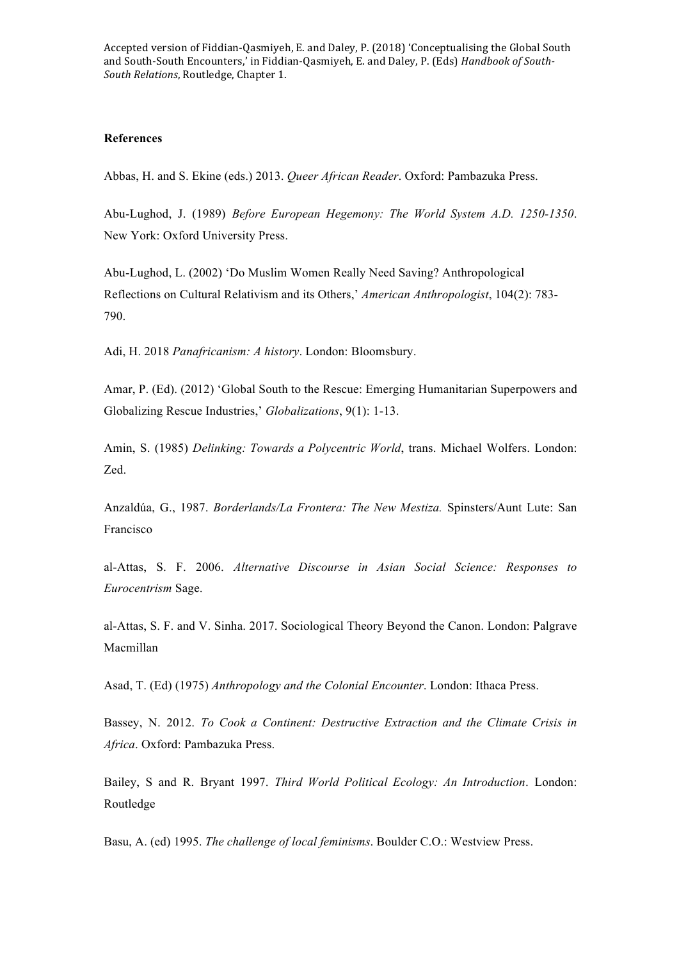## **References**

Abbas, H. and S. Ekine (eds.) 2013. *Queer African Reader*. Oxford: Pambazuka Press.

Abu-Lughod, J. (1989) *Before European Hegemony: The World System A.D. 1250-1350*. New York: Oxford University Press.

Abu-Lughod, L. (2002) 'Do Muslim Women Really Need Saving? Anthropological Reflections on Cultural Relativism and its Others,' *American Anthropologist*, 104(2): 783- 790.

Adi, H. 2018 *Panafricanism: A history*. London: Bloomsbury.

Amar, P. (Ed). (2012) 'Global South to the Rescue: Emerging Humanitarian Superpowers and Globalizing Rescue Industries,' *Globalizations*, 9(1): 1-13.

Amin, S. (1985) *Delinking: Towards a Polycentric World*, trans. Michael Wolfers. London: Zed.

Anzaldúa, G., 1987. *Borderlands/La Frontera: The New Mestiza.* Spinsters/Aunt Lute: San Francisco

al-Attas, S. F. 2006. *Alternative Discourse in Asian Social Science: Responses to Eurocentrism* Sage.

al-Attas, S. F. and V. Sinha. 2017. Sociological Theory Beyond the Canon. London: Palgrave Macmillan

Asad, T. (Ed) (1975) *Anthropology and the Colonial Encounter*. London: Ithaca Press.

Bassey, N. 2012. *To Cook a Continent: Destructive Extraction and the Climate Crisis in Africa*. Oxford: Pambazuka Press.

Bailey, S and R. Bryant 1997. *Third World Political Ecology: An Introduction*. London: Routledge

Basu, A. (ed) 1995. *The challenge of local feminisms*. Boulder C.O.: Westview Press.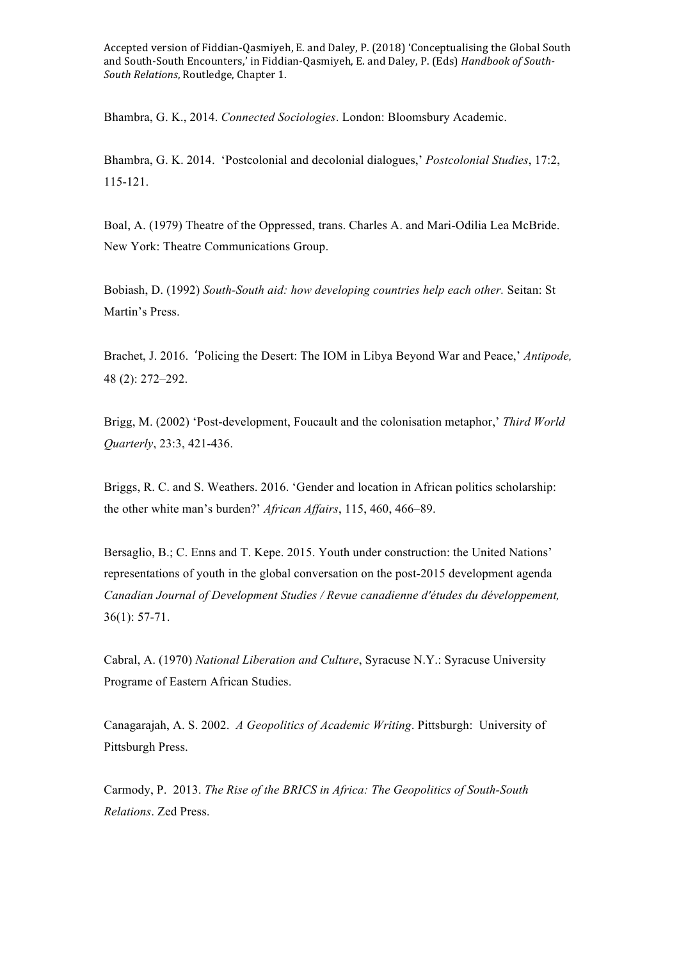Bhambra, G. K., 2014. *Connected Sociologies*. London: Bloomsbury Academic.

Bhambra, G. K. 2014. 'Postcolonial and decolonial dialogues,' *Postcolonial Studies*, 17:2, 115-121.

Boal, A. (1979) Theatre of the Oppressed, trans. Charles A. and Mari-Odilia Lea McBride. New York: Theatre Communications Group.

Bobiash, D. (1992) *South-South aid: how developing countries help each other.* Seitan: St Martin's Press.

Brachet, J. 2016. 'Policing the Desert: The IOM in Libya Beyond War and Peace,' *Antipode,*  48 (2): 272–292.

Brigg, M. (2002) 'Post-development, Foucault and the colonisation metaphor,' *Third World Quarterly*, 23:3, 421-436.

Briggs, R. C. and S. Weathers. 2016. 'Gender and location in African politics scholarship: the other white man's burden?' *African Affairs*, 115, 460, 466–89.

Bersaglio, B.; C. Enns and T. Kepe. 2015. Youth under construction: the United Nations' representations of youth in the global conversation on the post-2015 development agenda *Canadian Journal of Development Studies / Revue canadienne d'études du développement,* 36(1): 57-71.

Cabral, A. (1970) *National Liberation and Culture*, Syracuse N.Y.: Syracuse University Programe of Eastern African Studies.

Canagarajah, A. S. 2002. *A Geopolitics of Academic Writing*. Pittsburgh: University of Pittsburgh Press.

Carmody, P. 2013. *The Rise of the BRICS in Africa: The Geopolitics of South-South Relations*. Zed Press.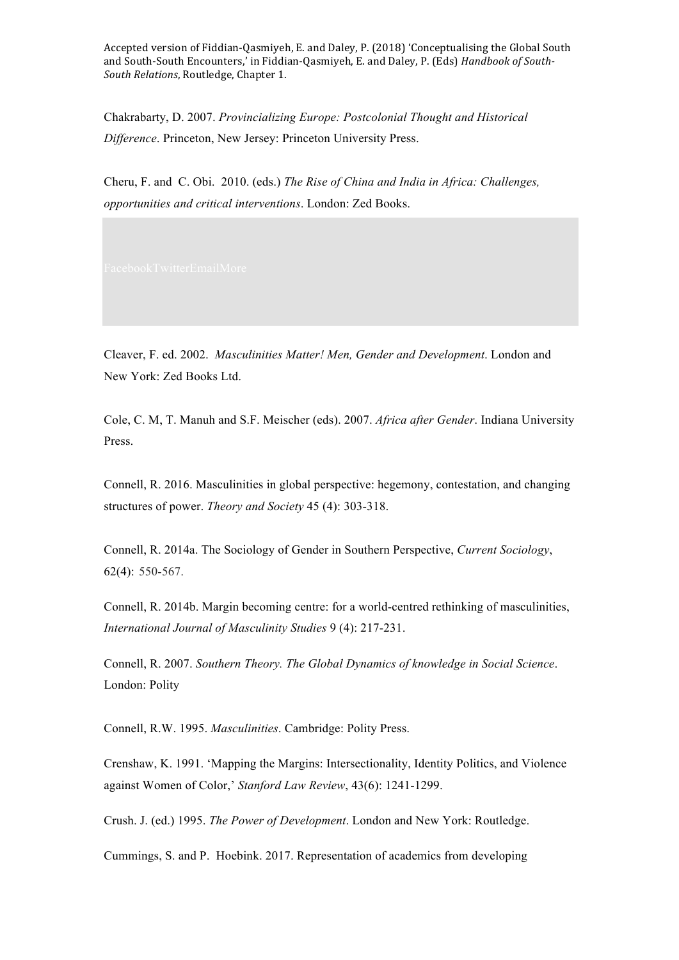Chakrabarty, D. 2007. *Provincializing Europe: Postcolonial Thought and Historical Difference*. Princeton, New Jersey: Princeton University Press.

Cheru, F. and C. Obi. 2010. (eds.) *The Rise of China and India in Africa: Challenges, opportunities and critical interventions*. London: Zed Books.

Cleaver, F. ed. 2002. *Masculinities Matter! Men, Gender and Development*. London and New York: Zed Books Ltd.

Cole, C. M, T. Manuh and S.F. Meischer (eds). 2007. *Africa after Gender*. Indiana University Press.

Connell, R. 2016. Masculinities in global perspective: hegemony, contestation, and changing structures of power. *Theory and Society* 45 (4): 303-318.

Connell, R. 2014a. The Sociology of Gender in Southern Perspective, *Current Sociology*, 62(4): 550-567.

Connell, R. 2014b. Margin becoming centre: for a world-centred rethinking of masculinities, *International Journal of Masculinity Studies* 9 (4): 217-231.

Connell, R. 2007. *Southern Theory. The Global Dynamics of knowledge in Social Science*. London: Polity

Connell, R.W. 1995. *Masculinities*. Cambridge: Polity Press.

Crenshaw, K. 1991. 'Mapping the Margins: Intersectionality, Identity Politics, and Violence against Women of Color,' *Stanford Law Review*, 43(6): 1241-1299.

Crush. J. (ed.) 1995. *The Power of Development*. London and New York: Routledge.

Cummings, S. and P. Hoebink. 2017. Representation of academics from developing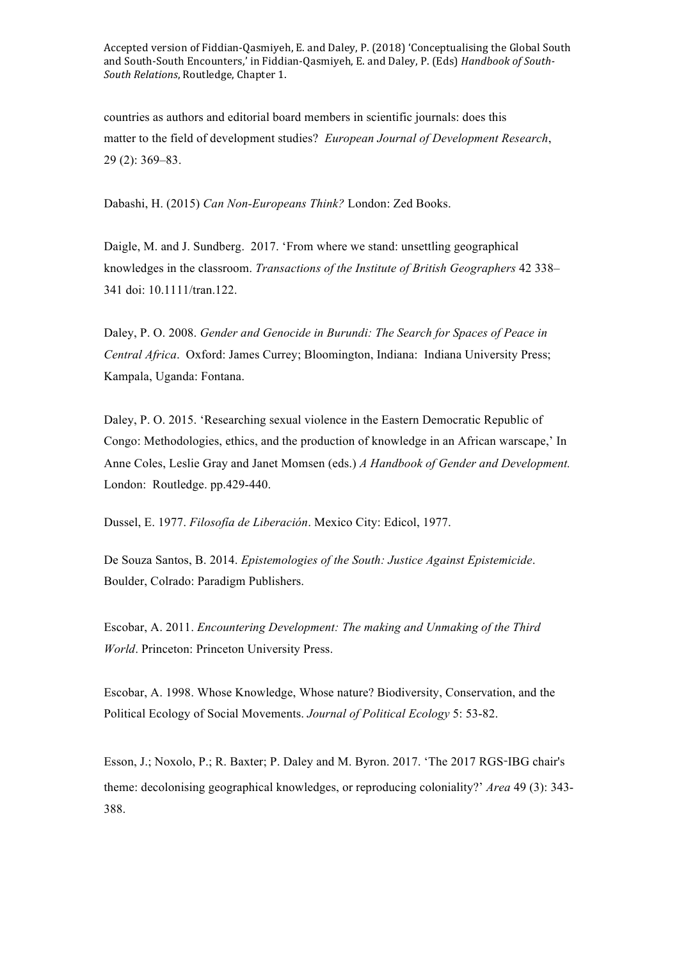countries as authors and editorial board members in scientific journals: does this matter to the field of development studies? *European Journal of Development Research*, 29 (2): 369–83.

Dabashi, H. (2015) *Can Non-Europeans Think?* London: Zed Books.

Daigle, M. and J. Sundberg. 2017. 'From where we stand: unsettling geographical knowledges in the classroom. *Transactions of the Institute of British Geographers* 42 338– 341 doi: 10.1111/tran.122.

Daley, P. O. 2008. *Gender and Genocide in Burundi: The Search for Spaces of Peace in Central Africa*. Oxford: James Currey; Bloomington, Indiana: Indiana University Press; Kampala, Uganda: Fontana.

Daley, P. O. 2015. 'Researching sexual violence in the Eastern Democratic Republic of Congo: Methodologies, ethics, and the production of knowledge in an African warscape,' In Anne Coles, Leslie Gray and Janet Momsen (eds.) *A Handbook of Gender and Development.*  London: Routledge. pp.429-440.

Dussel, E. 1977. *Filosofía de Liberación*. Mexico City: Edicol, 1977.

De Souza Santos, B. 2014. *Epistemologies of the South: Justice Against Epistemicide*. Boulder, Colrado: Paradigm Publishers.

Escobar, A. 2011. *Encountering Development: The making and Unmaking of the Third World*. Princeton: Princeton University Press.

Escobar, A. 1998. Whose Knowledge, Whose nature? Biodiversity, Conservation, and the Political Ecology of Social Movements. *Journal of Political Ecology* 5: 53-82.

Esson, J.; Noxolo, P.; R. Baxter; P. Daley and M. Byron. 2017. 'The 2017 RGS-IBG chair's theme: decolonising geographical knowledges, or reproducing coloniality?' *Area* 49 (3): 343- 388.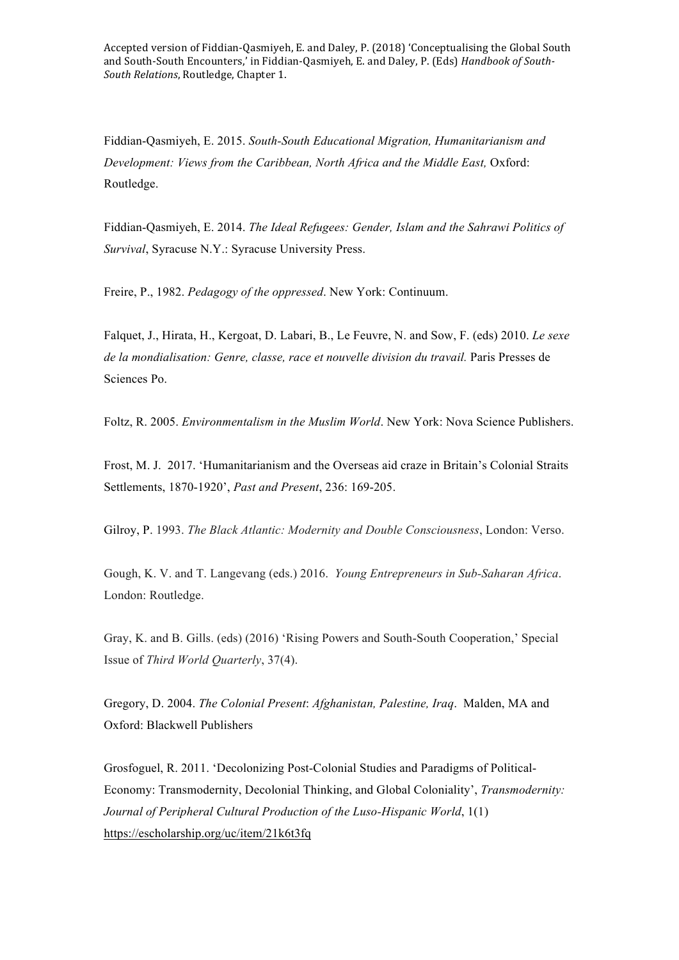Fiddian-Qasmiyeh, E. 2015. *South-South Educational Migration, Humanitarianism and Development: Views from the Caribbean, North Africa and the Middle East,* Oxford: Routledge.

Fiddian-Qasmiyeh, E. 2014. *The Ideal Refugees: Gender, Islam and the Sahrawi Politics of Survival*, Syracuse N.Y.: Syracuse University Press.

Freire, P., 1982. *Pedagogy of the oppressed*. New York: Continuum.

Falquet, J., Hirata, H., Kergoat, D. Labari, B., Le Feuvre, N. and Sow, F. (eds) 2010. *Le sexe*  de la mondialisation: Genre, classe, race et nouvelle division du travail. Paris Presses de Sciences Po.

Foltz, R. 2005. *Environmentalism in the Muslim World*. New York: Nova Science Publishers.

Frost, M. J. 2017. 'Humanitarianism and the Overseas aid craze in Britain's Colonial Straits Settlements, 1870-1920', *Past and Present*, 236: 169-205.

Gilroy, P. 1993. *The Black Atlantic: Modernity and Double Consciousness*, London: Verso.

Gough, K. V. and T. Langevang (eds.) 2016. *Young Entrepreneurs in Sub-Saharan Africa*. London: Routledge.

Gray, K. and B. Gills. (eds) (2016) 'Rising Powers and South-South Cooperation,' Special Issue of *Third World Quarterly*, 37(4).

Gregory, D. 2004. *The Colonial Present*: *Afghanistan, Palestine, Iraq*. Malden, MA and Oxford: Blackwell Publishers

Grosfoguel, R. 2011. 'Decolonizing Post-Colonial Studies and Paradigms of Political-Economy: Transmodernity, Decolonial Thinking, and Global Coloniality', *Transmodernity: Journal of Peripheral Cultural Production of the Luso-Hispanic World*, 1(1) https://escholarship.org/uc/item/21k6t3fq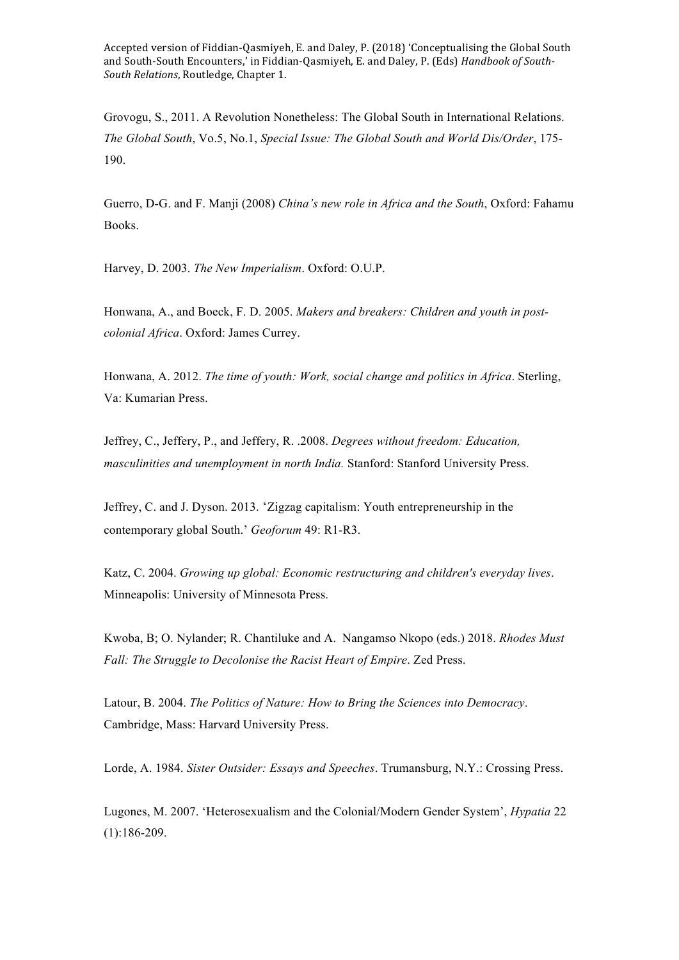Grovogu, S., 2011. A Revolution Nonetheless: The Global South in International Relations. *The Global South*, Vo.5, No.1, *Special Issue: The Global South and World Dis/Order*, 175- 190.

Guerro, D-G. and F. Manji (2008) *China's new role in Africa and the South*, Oxford: Fahamu Books.

Harvey, D. 2003. *The New Imperialism*. Oxford: O.U.P.

Honwana, A., and Boeck, F. D. 2005. *Makers and breakers: Children and youth in postcolonial Africa*. Oxford: James Currey.

Honwana, A. 2012. *The time of youth: Work, social change and politics in Africa*. Sterling, Va: Kumarian Press.

Jeffrey, C., Jeffery, P., and Jeffery, R. .2008. *Degrees without freedom: Education, masculinities and unemployment in north India.* Stanford: Stanford University Press.

Jeffrey, C. and J. Dyson. 2013. 'Zigzag capitalism: Youth entrepreneurship in the contemporary global South.' *Geoforum* 49: R1-R3.

Katz, C. 2004. *Growing up global: Economic restructuring and children's everyday lives*. Minneapolis: University of Minnesota Press.

Kwoba, B; O. Nylander; R. Chantiluke and A. Nangamso Nkopo (eds.) 2018. *Rhodes Must Fall: The Struggle to Decolonise the Racist Heart of Empire*. Zed Press.

Latour, B. 2004. *The Politics of Nature: How to Bring the Sciences into Democracy*. Cambridge, Mass: Harvard University Press.

Lorde, A. 1984. *Sister Outsider: Essays and Speeches*. Trumansburg, N.Y.: Crossing Press.

Lugones, M. 2007. 'Heterosexualism and the Colonial/Modern Gender System', *Hypatia* 22 (1):186-209.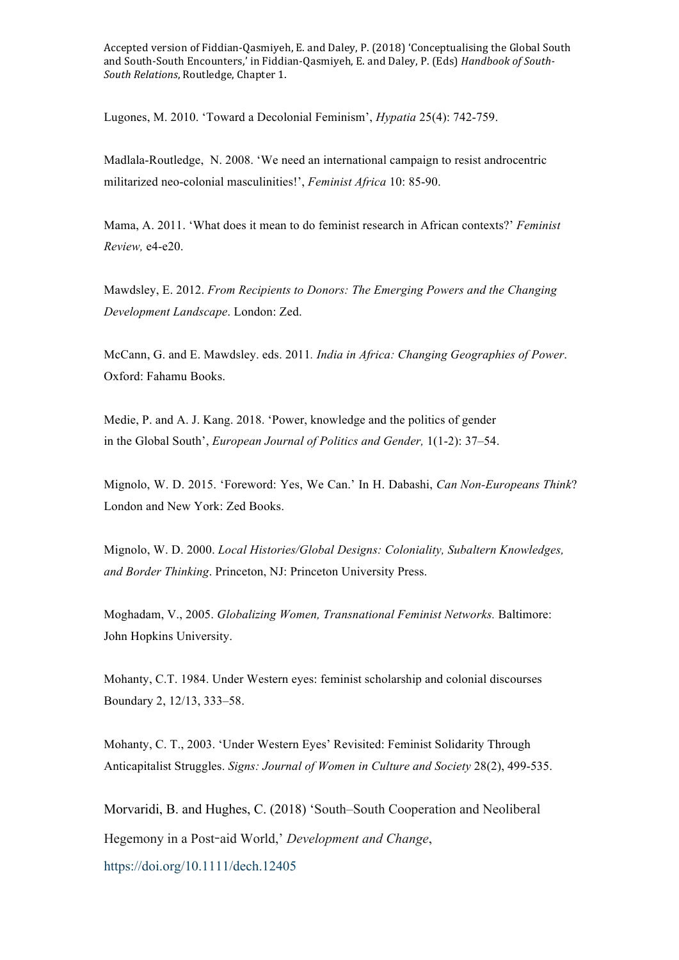Lugones, M. 2010. 'Toward a Decolonial Feminism', *Hypatia* 25(4): 742-759.

Madlala-Routledge, N. 2008. 'We need an international campaign to resist androcentric militarized neo-colonial masculinities!', *Feminist Africa* 10: 85-90.

Mama, A. 2011. 'What does it mean to do feminist research in African contexts?' *Feminist Review,* e4-e20.

Mawdsley, E. 2012. *From Recipients to Donors: The Emerging Powers and the Changing Development Landscape*. London: Zed.

McCann, G. and E. Mawdsley. eds. 2011*. India in Africa: Changing Geographies of Power*. Oxford: Fahamu Books.

Medie, P. and A. J. Kang. 2018. 'Power, knowledge and the politics of gender in the Global South', *European Journal of Politics and Gender,* 1(1-2): 37–54.

Mignolo, W. D. 2015. 'Foreword: Yes, We Can.' In H. Dabashi, *Can Non-Europeans Think*? London and New York: Zed Books.

Mignolo, W. D. 2000. *Local Histories/Global Designs: Coloniality, Subaltern Knowledges, and Border Thinking*. Princeton, NJ: Princeton University Press.

Moghadam, V., 2005. *Globalizing Women, Transnational Feminist Networks.* Baltimore: John Hopkins University.

Mohanty, C.T. 1984. Under Western eyes: feminist scholarship and colonial discourses Boundary 2, 12/13, 333–58.

Mohanty, C. T., 2003. 'Under Western Eyes' Revisited: Feminist Solidarity Through Anticapitalist Struggles. *Signs: Journal of Women in Culture and Society* 28(2), 499-535.

Morvaridi, B. and Hughes, C. (2018) 'South–South Cooperation and Neoliberal Hegemony in a Post**-**aid World,' *Development and Change*,

https://doi.org/10.1111/dech.12405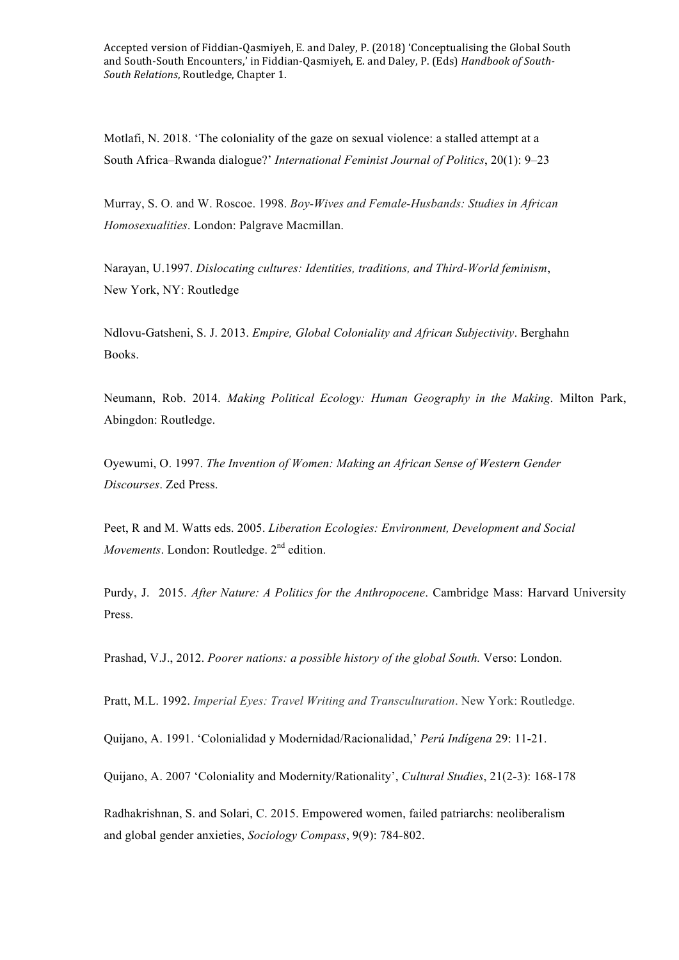Motlafi, N. 2018. 'The coloniality of the gaze on sexual violence: a stalled attempt at a South Africa–Rwanda dialogue?' *International Feminist Journal of Politics*, 20(1): 9–23

Murray, S. O. and W. Roscoe. 1998. *Boy-Wives and Female-Husbands: Studies in African Homosexualities*. London: Palgrave Macmillan.

Narayan, U.1997. *Dislocating cultures: Identities, traditions, and Third-World feminism*, New York, NY: Routledge

Ndlovu-Gatsheni, S. J. 2013. *Empire, Global Coloniality and African Subjectivity*. Berghahn Books.

Neumann, Rob. 2014. *Making Political Ecology: Human Geography in the Making*. Milton Park, Abingdon: Routledge.

Oyewumi, O. 1997. *The Invention of Women: Making an African Sense of Western Gender Discourses*. Zed Press.

Peet, R and M. Watts eds. 2005. *Liberation Ecologies: Environment, Development and Social Movements.* London: Routledge. 2<sup>nd</sup> edition.

Purdy, J. 2015. *After Nature: A Politics for the Anthropocene*. Cambridge Mass: Harvard University Press.

Prashad, V.J., 2012. *Poorer nations: a possible history of the global South.* Verso: London.

Pratt, M.L. 1992. *Imperial Eyes: Travel Writing and Transculturation*. New York: Routledge.

Quijano, A. 1991. 'Colonialidad y Modernidad/Racionalidad,' *Perú Indígena* 29: 11-21.

Quijano, A. 2007 'Coloniality and Modernity/Rationality', *Cultural Studies*, 21(2-3): 168-178

Radhakrishnan, S. and Solari, C. 2015. Empowered women, failed patriarchs: neoliberalism and global gender anxieties, *Sociology Compass*, 9(9): 784-802.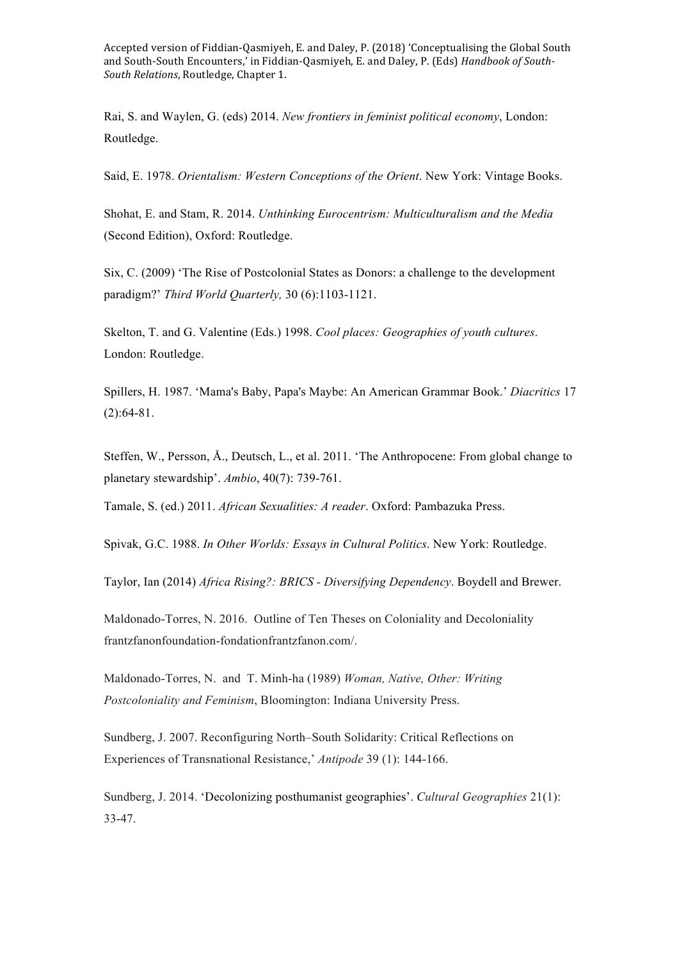Rai, S. and Waylen, G. (eds) 2014. *New frontiers in feminist political economy*, London: Routledge.

Said, E. 1978. *Orientalism: Western Conceptions of the Orient*. New York: Vintage Books.

Shohat, E. and Stam, R. 2014. *Unthinking Eurocentrism: Multiculturalism and the Media* (Second Edition), Oxford: Routledge.

Six, C. (2009) 'The Rise of Postcolonial States as Donors: a challenge to the development paradigm?' *Third World Quarterly,* 30 (6):1103-1121.

Skelton, T. and G. Valentine (Eds.) 1998. *Cool places: Geographies of youth cultures*. London: Routledge.

Spillers, H. 1987. 'Mama's Baby, Papa's Maybe: An American Grammar Book.' *Diacritics* 17 (2):64-81.

Steffen, W., Persson, Å., Deutsch, L., et al. 2011. 'The Anthropocene: From global change to planetary stewardship'. *Ambio*, 40(7): 739-761.

Tamale, S. (ed.) 2011. *African Sexualities: A reader*. Oxford: Pambazuka Press.

Spivak, G.C. 1988. *In Other Worlds: Essays in Cultural Politics*. New York: Routledge.

Taylor, Ian (2014) *Africa Rising?: BRICS - Diversifying Dependency*. Boydell and Brewer.

Maldonado-Torres, N. 2016. Outline of Ten Theses on Coloniality and Decoloniality frantzfanonfoundation-fondationfrantzfanon.com/.

Maldonado-Torres, N. and T. Minh-ha (1989) *Woman, Native, Other: Writing Postcoloniality and Feminism*, Bloomington: Indiana University Press.

Sundberg, J. 2007. Reconfiguring North–South Solidarity: Critical Reflections on Experiences of Transnational Resistance,' *Antipode* 39 (1): 144-166.

Sundberg, J. 2014. 'Decolonizing posthumanist geographies'. *Cultural Geographies* 21(1): 33-47.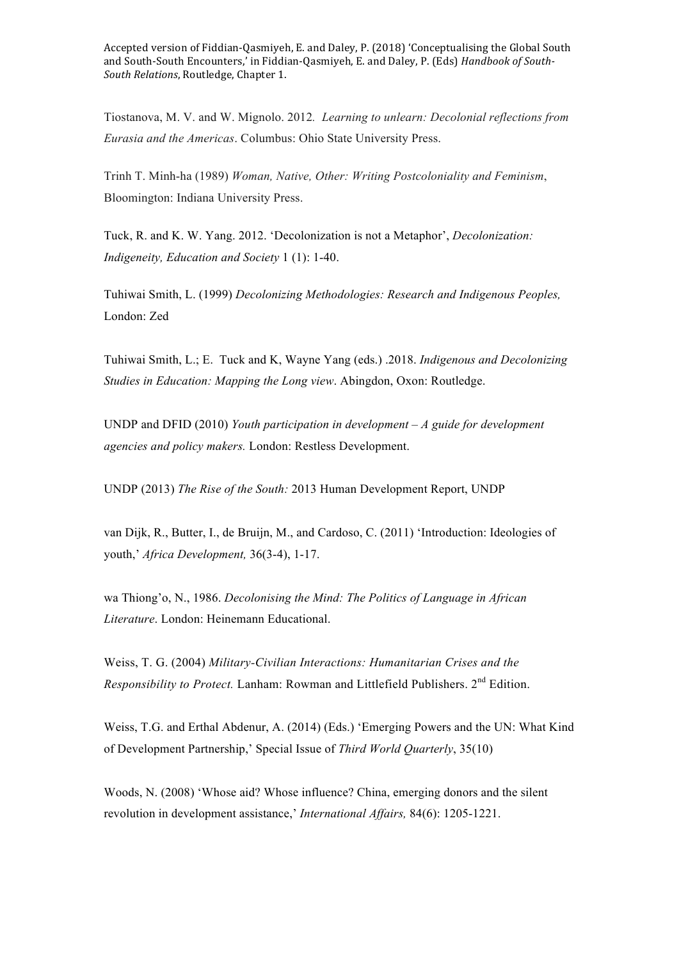Tiostanova, M. V. and W. Mignolo. 2012*. Learning to unlearn: Decolonial reflections from Eurasia and the Americas*. Columbus: Ohio State University Press.

Trinh T. Minh-ha (1989) *Woman, Native, Other: Writing Postcoloniality and Feminism*, Bloomington: Indiana University Press.

Tuck, R. and K. W. Yang. 2012. 'Decolonization is not a Metaphor', *Decolonization: Indigeneity, Education and Society* 1 (1): 1-40.

Tuhiwai Smith, L. (1999) *Decolonizing Methodologies: Research and Indigenous Peoples,* London: Zed

Tuhiwai Smith, L.; E. Tuck and K, Wayne Yang (eds.) .2018. *Indigenous and Decolonizing Studies in Education: Mapping the Long view*. Abingdon, Oxon: Routledge.

UNDP and DFID (2010) *Youth participation in development – A guide for development agencies and policy makers.* London: Restless Development.

UNDP (2013) *The Rise of the South:* 2013 Human Development Report, UNDP

van Dijk, R., Butter, I., de Bruijn, M., and Cardoso, C. (2011) 'Introduction: Ideologies of youth,' *Africa Development,* 36(3-4), 1-17.

wa Thiong'o, N., 1986. *Decolonising the Mind: The Politics of Language in African Literature*. London: Heinemann Educational.

Weiss, T. G. (2004) *Military-Civilian Interactions: Humanitarian Crises and the Responsibility to Protect.* Lanham: Rowman and Littlefield Publishers. 2<sup>nd</sup> Edition.

Weiss, T.G. and Erthal Abdenur, A. (2014) (Eds.) 'Emerging Powers and the UN: What Kind of Development Partnership,' Special Issue of *Third World Quarterly*, 35(10)

Woods, N. (2008) 'Whose aid? Whose influence? China, emerging donors and the silent revolution in development assistance,' *International Affairs,* 84(6): 1205-1221.